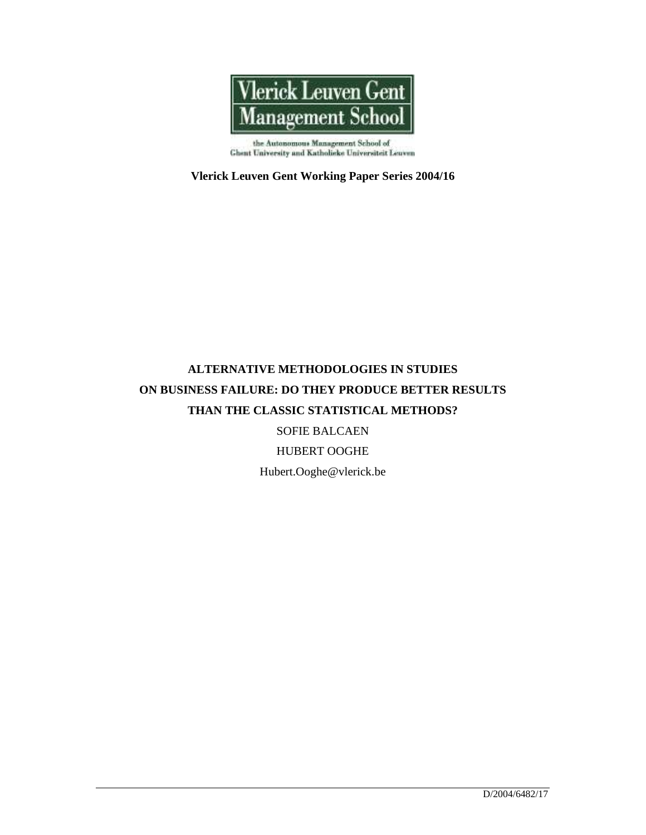

the Autonomous Management School of<br>Ghent University and Katholieke Universiteit Leuven

**Vlerick Leuven Gent Working Paper Series 2004/16**

# **ALTERNATIVE METHODOLOGIES IN STUDIES ON BUSINESS FAILURE: DO THEY PRODUCE BETTER RESULTS THAN THE CLASSIC STATISTICAL METHODS?**

SOFIE BALCAEN

HUBERT OOGHE

Hubert.Ooghe@vlerick.be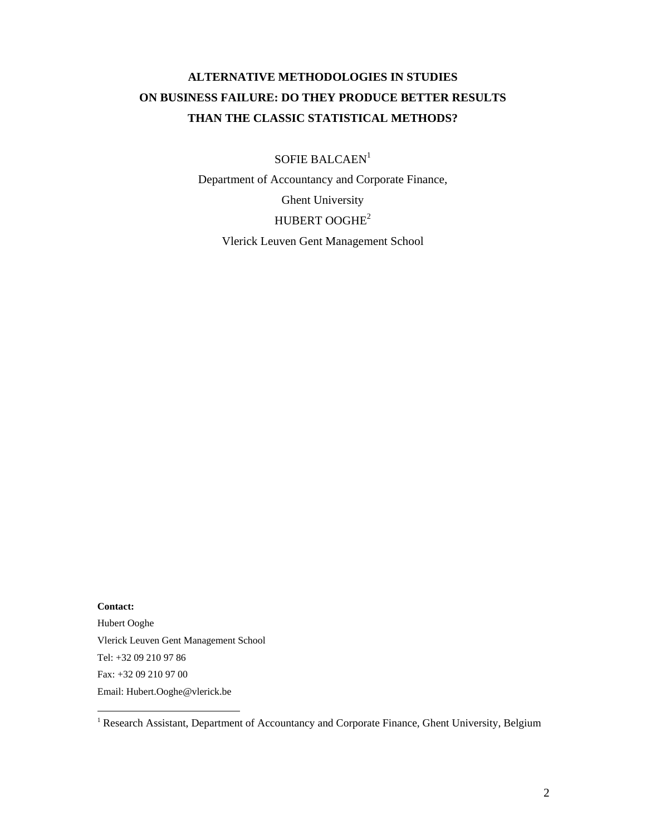# **ALTERNATIVE METHODOLOGIES IN STUDIES ON BUSINESS FAILURE: DO THEY PRODUCE BETTER RESULTS THAN THE CLASSIC STATISTICAL METHODS?**

SOFIE BALCAEN<sup>1</sup>

Department of Accountancy and Corporate Finance,

Ghent University

## HUBERT OOGHE<sup>2</sup>

Vlerick Leuven Gent Management School

**Contact:**  Hubert Ooghe Vlerick Leuven Gent Management School Tel: +32 09 210 97 86 Fax: +32 09 210 97 00 Email: Hubert.Ooghe@vlerick.be

<sup>&</sup>lt;sup>1</sup> Research Assistant, Department of Accountancy and Corporate Finance, Ghent University, Belgium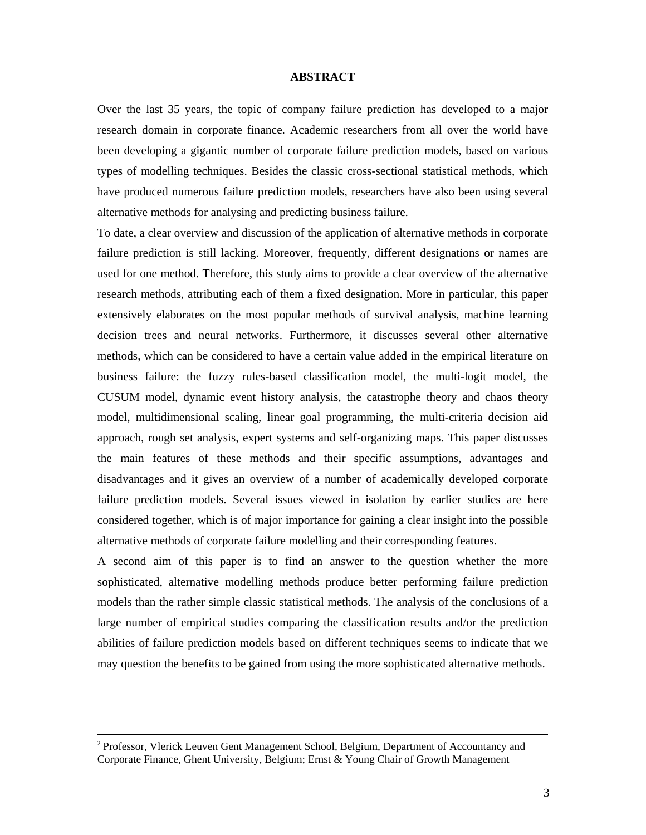## **ABSTRACT**

Over the last 35 years, the topic of company failure prediction has developed to a major research domain in corporate finance. Academic researchers from all over the world have been developing a gigantic number of corporate failure prediction models, based on various types of modelling techniques. Besides the classic cross-sectional statistical methods, which have produced numerous failure prediction models, researchers have also been using several alternative methods for analysing and predicting business failure.

To date, a clear overview and discussion of the application of alternative methods in corporate failure prediction is still lacking. Moreover, frequently, different designations or names are used for one method. Therefore, this study aims to provide a clear overview of the alternative research methods, attributing each of them a fixed designation. More in particular, this paper extensively elaborates on the most popular methods of survival analysis, machine learning decision trees and neural networks. Furthermore, it discusses several other alternative methods, which can be considered to have a certain value added in the empirical literature on business failure: the fuzzy rules-based classification model, the multi-logit model, the CUSUM model, dynamic event history analysis, the catastrophe theory and chaos theory model, multidimensional scaling, linear goal programming, the multi-criteria decision aid approach, rough set analysis, expert systems and self-organizing maps. This paper discusses the main features of these methods and their specific assumptions, advantages and disadvantages and it gives an overview of a number of academically developed corporate failure prediction models. Several issues viewed in isolation by earlier studies are here considered together, which is of major importance for gaining a clear insight into the possible alternative methods of corporate failure modelling and their corresponding features.

A second aim of this paper is to find an answer to the question whether the more sophisticated, alternative modelling methods produce better performing failure prediction models than the rather simple classic statistical methods. The analysis of the conclusions of a large number of empirical studies comparing the classification results and/or the prediction abilities of failure prediction models based on different techniques seems to indicate that we may question the benefits to be gained from using the more sophisticated alternative methods.

<sup>2</sup> Professor, Vlerick Leuven Gent Management School, Belgium, Department of Accountancy and Corporate Finance, Ghent University, Belgium; Ernst & Young Chair of Growth Management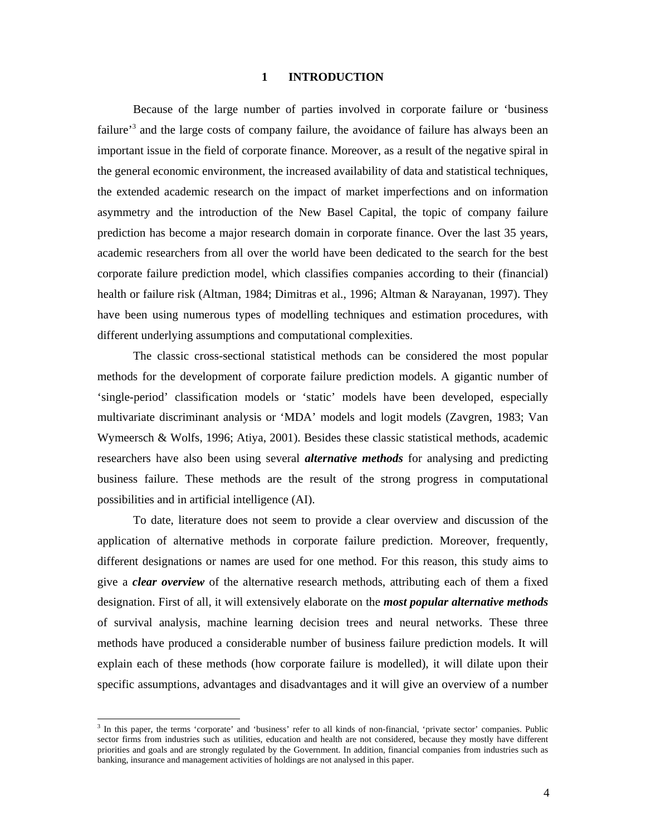## **1 INTRODUCTION**

Because of the large number of parties involved in corporate failure or 'business failure<sup>3</sup> and the large costs of company failure, the avoidance of failure has always been an important issue in the field of corporate finance. Moreover, as a result of the negative spiral in the general economic environment, the increased availability of data and statistical techniques, the extended academic research on the impact of market imperfections and on information asymmetry and the introduction of the New Basel Capital, the topic of company failure prediction has become a major research domain in corporate finance. Over the last 35 years, academic researchers from all over the world have been dedicated to the search for the best corporate failure prediction model, which classifies companies according to their (financial) health or failure risk (Altman, 1984; Dimitras et al., 1996; Altman & Narayanan, 1997). They have been using numerous types of modelling techniques and estimation procedures, with different underlying assumptions and computational complexities.

The classic cross-sectional statistical methods can be considered the most popular methods for the development of corporate failure prediction models. A gigantic number of 'single-period' classification models or 'static' models have been developed, especially multivariate discriminant analysis or 'MDA' models and logit models (Zavgren, 1983; Van Wymeersch & Wolfs, 1996; Atiya, 2001). Besides these classic statistical methods, academic researchers have also been using several *alternative methods* for analysing and predicting business failure. These methods are the result of the strong progress in computational possibilities and in artificial intelligence (AI).

To date, literature does not seem to provide a clear overview and discussion of the application of alternative methods in corporate failure prediction. Moreover, frequently, different designations or names are used for one method. For this reason, this study aims to give a *clear overview* of the alternative research methods, attributing each of them a fixed designation. First of all, it will extensively elaborate on the *most popular alternative methods* of survival analysis, machine learning decision trees and neural networks. These three methods have produced a considerable number of business failure prediction models. It will explain each of these methods (how corporate failure is modelled), it will dilate upon their specific assumptions, advantages and disadvantages and it will give an overview of a number

<sup>&</sup>lt;sup>3</sup> In this paper, the terms 'corporate' and 'business' refer to all kinds of non-financial, 'private sector' companies. Public sector firms from industries such as utilities, education and health are not considered, because they mostly have different priorities and goals and are strongly regulated by the Government. In addition, financial companies from industries such as banking, insurance and management activities of holdings are not analysed in this paper.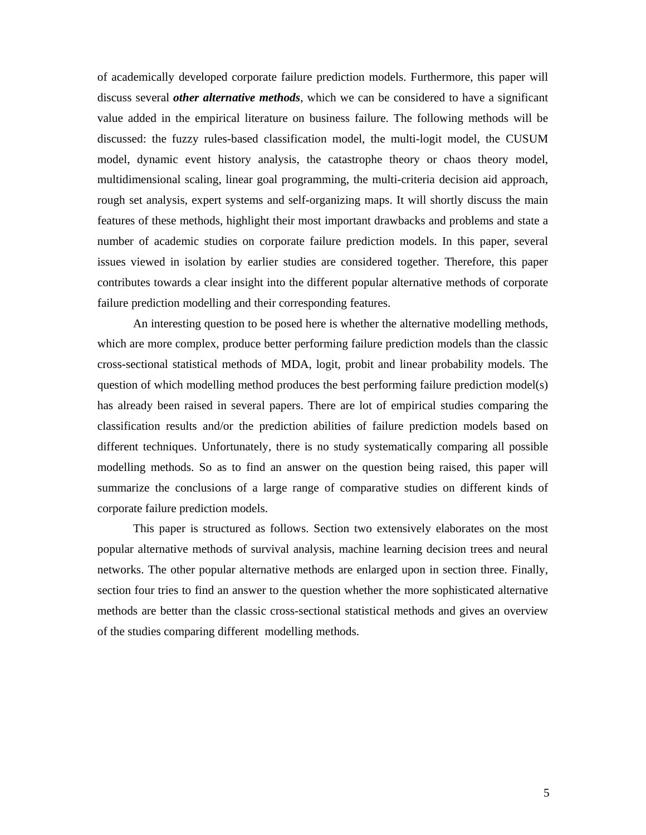of academically developed corporate failure prediction models. Furthermore, this paper will discuss several *other alternative methods*, which we can be considered to have a significant value added in the empirical literature on business failure. The following methods will be discussed: the fuzzy rules-based classification model, the multi-logit model, the CUSUM model, dynamic event history analysis, the catastrophe theory or chaos theory model, multidimensional scaling, linear goal programming, the multi-criteria decision aid approach, rough set analysis, expert systems and self-organizing maps. It will shortly discuss the main features of these methods, highlight their most important drawbacks and problems and state a number of academic studies on corporate failure prediction models. In this paper, several issues viewed in isolation by earlier studies are considered together. Therefore, this paper contributes towards a clear insight into the different popular alternative methods of corporate failure prediction modelling and their corresponding features.

An interesting question to be posed here is whether the alternative modelling methods, which are more complex, produce better performing failure prediction models than the classic cross-sectional statistical methods of MDA, logit, probit and linear probability models. The question of which modelling method produces the best performing failure prediction model(s) has already been raised in several papers. There are lot of empirical studies comparing the classification results and/or the prediction abilities of failure prediction models based on different techniques. Unfortunately, there is no study systematically comparing all possible modelling methods. So as to find an answer on the question being raised, this paper will summarize the conclusions of a large range of comparative studies on different kinds of corporate failure prediction models.

This paper is structured as follows. Section two extensively elaborates on the most popular alternative methods of survival analysis, machine learning decision trees and neural networks. The other popular alternative methods are enlarged upon in section three. Finally, section four tries to find an answer to the question whether the more sophisticated alternative methods are better than the classic cross-sectional statistical methods and gives an overview of the studies comparing different modelling methods.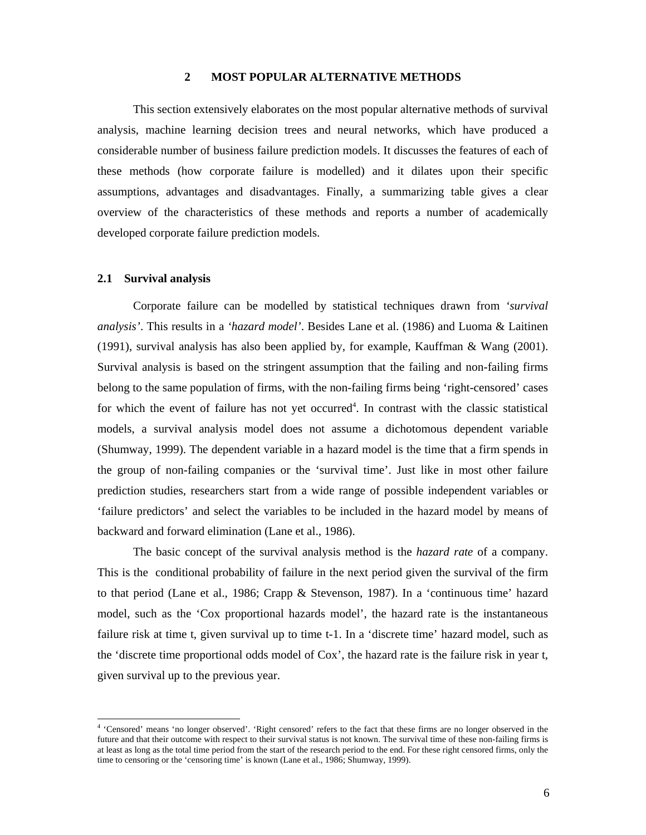### **2 MOST POPULAR ALTERNATIVE METHODS**

This section extensively elaborates on the most popular alternative methods of survival analysis, machine learning decision trees and neural networks, which have produced a considerable number of business failure prediction models. It discusses the features of each of these methods (how corporate failure is modelled) and it dilates upon their specific assumptions, advantages and disadvantages. Finally, a summarizing table gives a clear overview of the characteristics of these methods and reports a number of academically developed corporate failure prediction models.

### **2.1 Survival analysis**

Corporate failure can be modelled by statistical techniques drawn from *'survival analysis'*. This results in a *'hazard model'*. Besides Lane et al. (1986) and Luoma & Laitinen (1991), survival analysis has also been applied by, for example, Kauffman & Wang (2001). Survival analysis is based on the stringent assumption that the failing and non-failing firms belong to the same population of firms, with the non-failing firms being 'right-censored' cases for which the event of failure has not yet occurred<sup>4</sup>. In contrast with the classic statistical models, a survival analysis model does not assume a dichotomous dependent variable (Shumway, 1999). The dependent variable in a hazard model is the time that a firm spends in the group of non-failing companies or the 'survival time'. Just like in most other failure prediction studies, researchers start from a wide range of possible independent variables or 'failure predictors' and select the variables to be included in the hazard model by means of backward and forward elimination (Lane et al., 1986).

The basic concept of the survival analysis method is the *hazard rate* of a company. This is the conditional probability of failure in the next period given the survival of the firm to that period (Lane et al., 1986; Crapp & Stevenson, 1987). In a 'continuous time' hazard model, such as the 'Cox proportional hazards model', the hazard rate is the instantaneous failure risk at time t, given survival up to time t-1. In a 'discrete time' hazard model, such as the 'discrete time proportional odds model of Cox', the hazard rate is the failure risk in year t, given survival up to the previous year.

 4 'Censored' means 'no longer observed'. 'Right censored' refers to the fact that these firms are no longer observed in the future and that their outcome with respect to their survival status is not known. The survival time of these non-failing firms is at least as long as the total time period from the start of the research period to the end. For these right censored firms, only the time to censoring or the 'censoring time' is known (Lane et al., 1986; Shumway, 1999).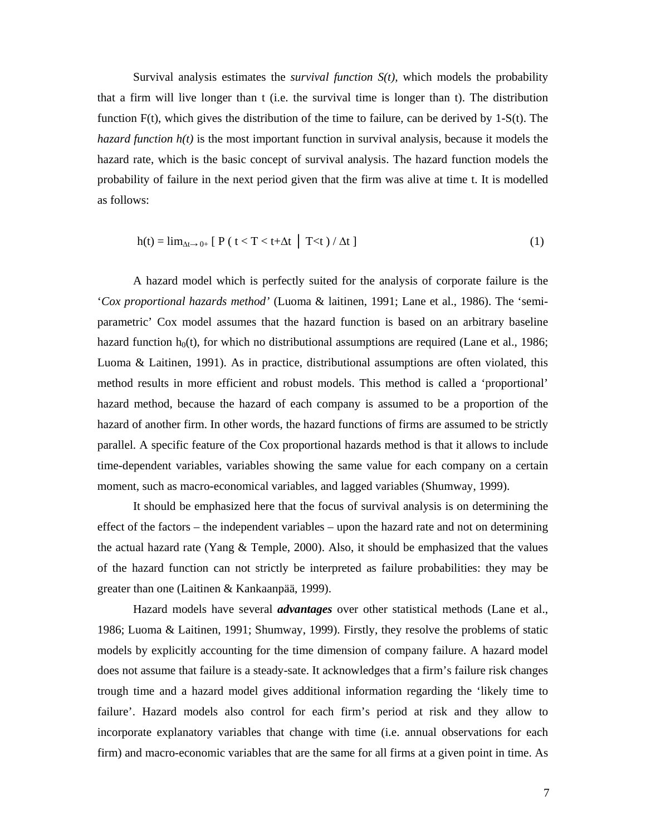Survival analysis estimates the *survival function S(t),* which models the probability that a firm will live longer than t (i.e. the survival time is longer than t). The distribution function  $F(t)$ , which gives the distribution of the time to failure, can be derived by 1-S(t). The *hazard function h(t)* is the most important function in survival analysis, because it models the hazard rate, which is the basic concept of survival analysis. The hazard function models the probability of failure in the next period given that the firm was alive at time t. It is modelled as follows:

$$
h(t) = \lim_{\Delta t \to 0+} [P(t < T < t + \Delta t \mid T < t) / \Delta t ] \tag{1}
$$

A hazard model which is perfectly suited for the analysis of corporate failure is the '*Cox proportional hazards method'* (Luoma & laitinen, 1991; Lane et al., 1986). The 'semiparametric' Cox model assumes that the hazard function is based on an arbitrary baseline hazard function  $h_0(t)$ , for which no distributional assumptions are required (Lane et al., 1986; Luoma & Laitinen, 1991). As in practice, distributional assumptions are often violated, this method results in more efficient and robust models. This method is called a 'proportional' hazard method, because the hazard of each company is assumed to be a proportion of the hazard of another firm. In other words, the hazard functions of firms are assumed to be strictly parallel. A specific feature of the Cox proportional hazards method is that it allows to include time-dependent variables, variables showing the same value for each company on a certain moment, such as macro-economical variables, and lagged variables (Shumway, 1999).

It should be emphasized here that the focus of survival analysis is on determining the effect of the factors – the independent variables – upon the hazard rate and not on determining the actual hazard rate (Yang & Temple, 2000). Also, it should be emphasized that the values of the hazard function can not strictly be interpreted as failure probabilities: they may be greater than one (Laitinen & Kankaanpää, 1999).

Hazard models have several *advantages* over other statistical methods (Lane et al., 1986; Luoma & Laitinen, 1991; Shumway, 1999). Firstly, they resolve the problems of static models by explicitly accounting for the time dimension of company failure. A hazard model does not assume that failure is a steady-sate. It acknowledges that a firm's failure risk changes trough time and a hazard model gives additional information regarding the 'likely time to failure'. Hazard models also control for each firm's period at risk and they allow to incorporate explanatory variables that change with time (i.e. annual observations for each firm) and macro-economic variables that are the same for all firms at a given point in time. As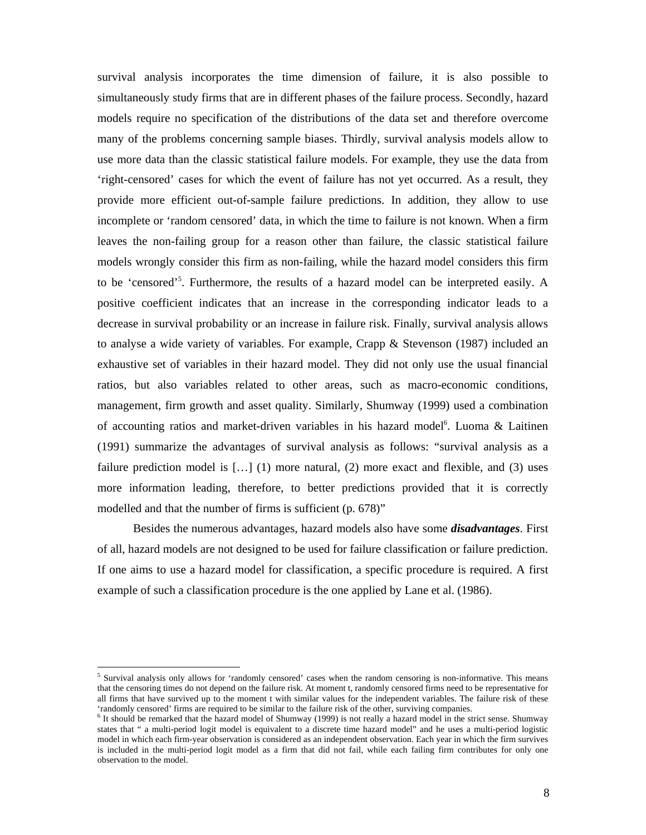survival analysis incorporates the time dimension of failure, it is also possible to simultaneously study firms that are in different phases of the failure process. Secondly, hazard models require no specification of the distributions of the data set and therefore overcome many of the problems concerning sample biases. Thirdly, survival analysis models allow to use more data than the classic statistical failure models. For example, they use the data from 'right-censored' cases for which the event of failure has not yet occurred. As a result, they provide more efficient out-of-sample failure predictions. In addition, they allow to use incomplete or 'random censored' data, in which the time to failure is not known. When a firm leaves the non-failing group for a reason other than failure, the classic statistical failure models wrongly consider this firm as non-failing, while the hazard model considers this firm to be 'censored'<sup>5</sup>. Furthermore, the results of a hazard model can be interpreted easily. A positive coefficient indicates that an increase in the corresponding indicator leads to a decrease in survival probability or an increase in failure risk. Finally, survival analysis allows to analyse a wide variety of variables. For example, Crapp & Stevenson (1987) included an exhaustive set of variables in their hazard model. They did not only use the usual financial ratios, but also variables related to other areas, such as macro-economic conditions, management, firm growth and asset quality. Similarly, Shumway (1999) used a combination of accounting ratios and market-driven variables in his hazard model<sup>6</sup>. Luoma & Laitinen (1991) summarize the advantages of survival analysis as follows: "survival analysis as a failure prediction model is  $[...]$  (1) more natural, (2) more exact and flexible, and (3) uses more information leading, therefore, to better predictions provided that it is correctly modelled and that the number of firms is sufficient (p. 678)"

Besides the numerous advantages, hazard models also have some *disadvantages*. First of all, hazard models are not designed to be used for failure classification or failure prediction. If one aims to use a hazard model for classification, a specific procedure is required. A first example of such a classification procedure is the one applied by Lane et al. (1986).

<sup>&</sup>lt;sup>5</sup> Survival analysis only allows for 'randomly censored' cases when the random censoring is non-informative. This means that the censoring times do not depend on the failure risk. At moment t, randomly censored firms need to be representative for all firms that have survived up to the moment t with similar values for the independent variables. The failure risk of these 'randomly censored' firms are required to be similar to the failure risk of the other, surviving companies.

<sup>&</sup>lt;sup>6</sup> It should be remarked that the hazard model of Shumway (1999) is not really a hazard model in the strict sense. Shumway states that " a multi-period logit model is equivalent to a discrete time hazard model" and he uses a multi-period logistic model in which each firm-year observation is considered as an independent observation. Each year in which the firm survives is included in the multi-period logit model as a firm that did not fail, while each failing firm contributes for only one observation to the model.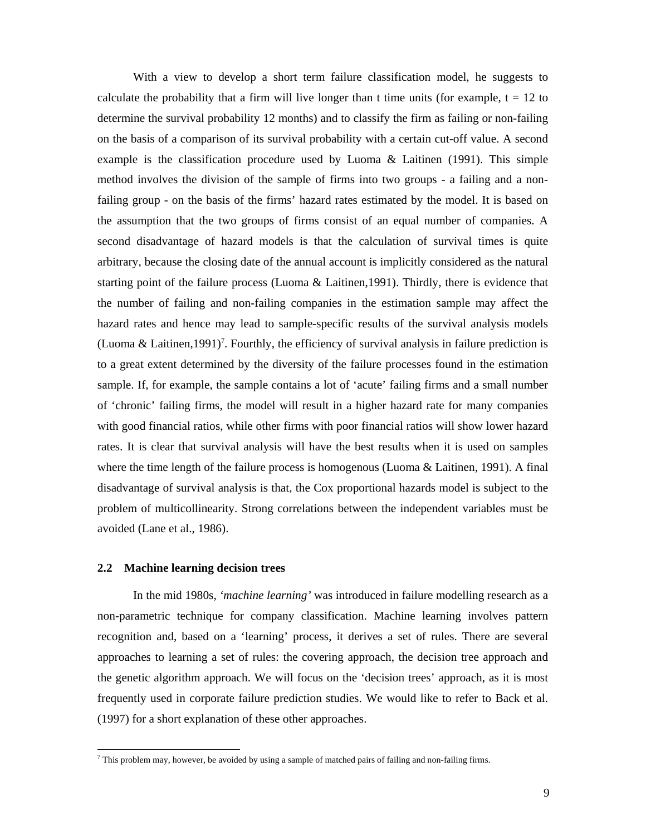With a view to develop a short term failure classification model, he suggests to calculate the probability that a firm will live longer than t time units (for example,  $t = 12$  to determine the survival probability 12 months) and to classify the firm as failing or non-failing on the basis of a comparison of its survival probability with a certain cut-off value. A second example is the classification procedure used by Luoma & Laitinen (1991). This simple method involves the division of the sample of firms into two groups - a failing and a nonfailing group - on the basis of the firms' hazard rates estimated by the model. It is based on the assumption that the two groups of firms consist of an equal number of companies. A second disadvantage of hazard models is that the calculation of survival times is quite arbitrary, because the closing date of the annual account is implicitly considered as the natural starting point of the failure process (Luoma & Laitinen,1991). Thirdly, there is evidence that the number of failing and non-failing companies in the estimation sample may affect the hazard rates and hence may lead to sample-specific results of the survival analysis models (Luoma & Laitinen, 1991)<sup>7</sup>. Fourthly, the efficiency of survival analysis in failure prediction is to a great extent determined by the diversity of the failure processes found in the estimation sample. If, for example, the sample contains a lot of 'acute' failing firms and a small number of 'chronic' failing firms, the model will result in a higher hazard rate for many companies with good financial ratios, while other firms with poor financial ratios will show lower hazard rates. It is clear that survival analysis will have the best results when it is used on samples where the time length of the failure process is homogenous (Luoma & Laitinen, 1991). A final disadvantage of survival analysis is that, the Cox proportional hazards model is subject to the problem of multicollinearity. Strong correlations between the independent variables must be avoided (Lane et al., 1986).

### **2.2 Machine learning decision trees**

In the mid 1980s, *'machine learning'* was introduced in failure modelling research as a non-parametric technique for company classification. Machine learning involves pattern recognition and, based on a 'learning' process, it derives a set of rules. There are several approaches to learning a set of rules: the covering approach, the decision tree approach and the genetic algorithm approach. We will focus on the 'decision trees' approach, as it is most frequently used in corporate failure prediction studies. We would like to refer to Back et al. (1997) for a short explanation of these other approaches.

 7 This problem may, however, be avoided by using a sample of matched pairs of failing and non-failing firms.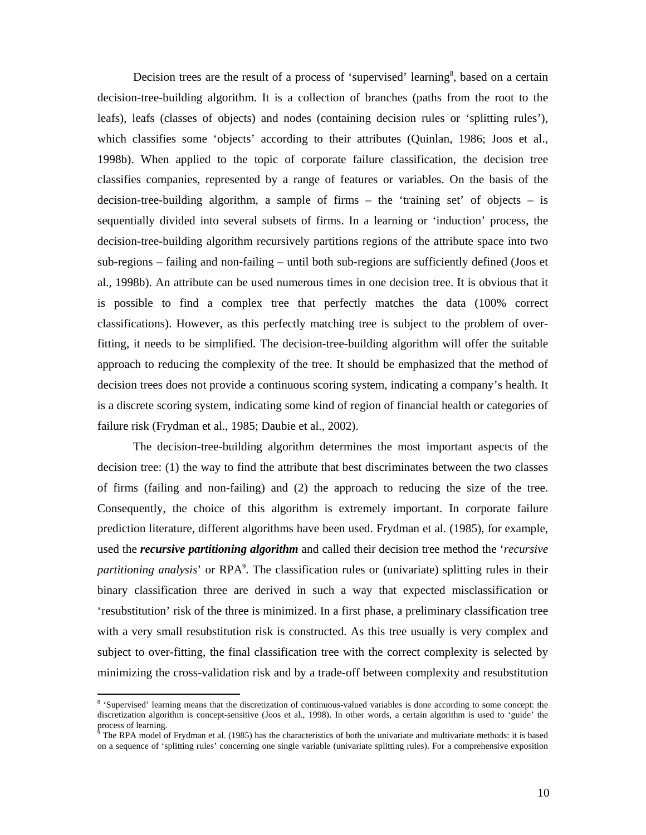Decision trees are the result of a process of 'supervised' learning<sup>8</sup>, based on a certain decision-tree-building algorithm. It is a collection of branches (paths from the root to the leafs), leafs (classes of objects) and nodes (containing decision rules or 'splitting rules'), which classifies some 'objects' according to their attributes (Quinlan, 1986; Joos et al., 1998b). When applied to the topic of corporate failure classification, the decision tree classifies companies, represented by a range of features or variables. On the basis of the decision-tree-building algorithm, a sample of firms  $-$  the 'training set' of objects  $-$  is sequentially divided into several subsets of firms. In a learning or 'induction' process, the decision-tree-building algorithm recursively partitions regions of the attribute space into two sub-regions – failing and non-failing – until both sub-regions are sufficiently defined (Joos et al., 1998b). An attribute can be used numerous times in one decision tree. It is obvious that it is possible to find a complex tree that perfectly matches the data (100% correct classifications). However, as this perfectly matching tree is subject to the problem of overfitting, it needs to be simplified. The decision-tree-building algorithm will offer the suitable approach to reducing the complexity of the tree. It should be emphasized that the method of decision trees does not provide a continuous scoring system, indicating a company's health. It is a discrete scoring system, indicating some kind of region of financial health or categories of failure risk (Frydman et al., 1985; Daubie et al., 2002).

The decision-tree-building algorithm determines the most important aspects of the decision tree: (1) the way to find the attribute that best discriminates between the two classes of firms (failing and non-failing) and (2) the approach to reducing the size of the tree. Consequently, the choice of this algorithm is extremely important. In corporate failure prediction literature, different algorithms have been used. Frydman et al. (1985), for example, used the *recursive partitioning algorithm* and called their decision tree method the '*recursive*  partitioning analysis' or RPA<sup>9</sup>. The classification rules or (univariate) splitting rules in their binary classification three are derived in such a way that expected misclassification or 'resubstitution' risk of the three is minimized. In a first phase, a preliminary classification tree with a very small resubstitution risk is constructed. As this tree usually is very complex and subject to over-fitting, the final classification tree with the correct complexity is selected by minimizing the cross-validation risk and by a trade-off between complexity and resubstitution

<sup>&</sup>lt;sup>8</sup> 'Supervised' learning means that the discretization of continuous-valued variables is done according to some concept: the discretization algorithm is concept-sensitive (Joos et al., 1998). In other words, a certain algorithm is used to 'guide' the process of learning.<br><sup>9</sup> The PPA model of

The RPA model of Frydman et al. (1985) has the characteristics of both the univariate and multivariate methods: it is based on a sequence of 'splitting rules' concerning one single variable (univariate splitting rules). For a comprehensive exposition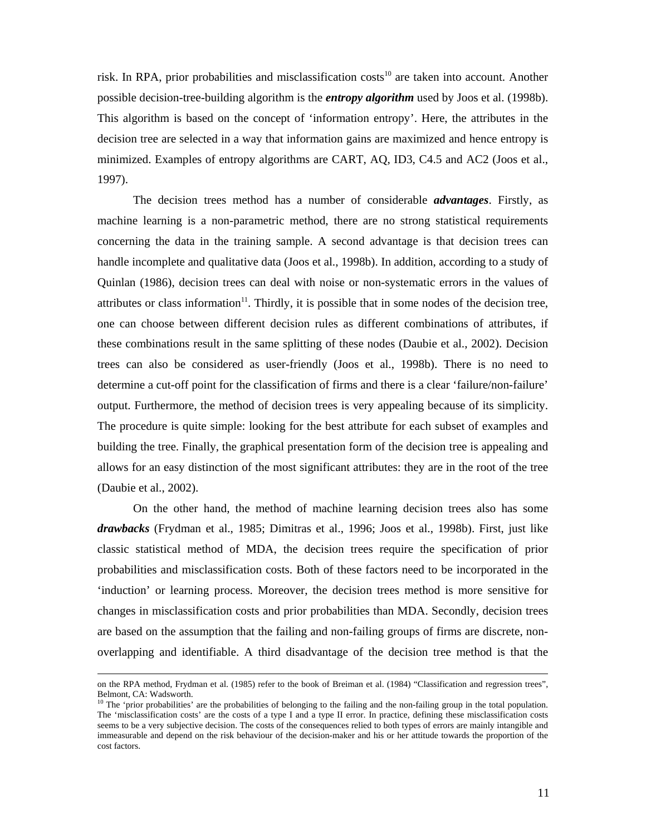risk. In RPA, prior probabilities and misclassification  $costs<sup>10</sup>$  are taken into account. Another possible decision-tree-building algorithm is the *entropy algorithm* used by Joos et al. (1998b). This algorithm is based on the concept of 'information entropy'. Here, the attributes in the decision tree are selected in a way that information gains are maximized and hence entropy is minimized. Examples of entropy algorithms are CART, AQ, ID3, C4.5 and AC2 (Joos et al., 1997).

The decision trees method has a number of considerable *advantages*. Firstly, as machine learning is a non-parametric method, there are no strong statistical requirements concerning the data in the training sample. A second advantage is that decision trees can handle incomplete and qualitative data (Joos et al., 1998b). In addition, according to a study of Quinlan (1986), decision trees can deal with noise or non-systematic errors in the values of attributes or class information $11$ . Thirdly, it is possible that in some nodes of the decision tree, one can choose between different decision rules as different combinations of attributes, if these combinations result in the same splitting of these nodes (Daubie et al., 2002). Decision trees can also be considered as user-friendly (Joos et al., 1998b). There is no need to determine a cut-off point for the classification of firms and there is a clear 'failure/non-failure' output. Furthermore, the method of decision trees is very appealing because of its simplicity. The procedure is quite simple: looking for the best attribute for each subset of examples and building the tree. Finally, the graphical presentation form of the decision tree is appealing and allows for an easy distinction of the most significant attributes: they are in the root of the tree (Daubie et al., 2002).

On the other hand, the method of machine learning decision trees also has some *drawbacks* (Frydman et al., 1985; Dimitras et al., 1996; Joos et al., 1998b). First, just like classic statistical method of MDA, the decision trees require the specification of prior probabilities and misclassification costs. Both of these factors need to be incorporated in the 'induction' or learning process. Moreover, the decision trees method is more sensitive for changes in misclassification costs and prior probabilities than MDA. Secondly, decision trees are based on the assumption that the failing and non-failing groups of firms are discrete, nonoverlapping and identifiable. A third disadvantage of the decision tree method is that the

on the RPA method, Frydman et al. (1985) refer to the book of Breiman et al. (1984) "Classification and regression trees", Belmont, CA: Wadsworth.

<sup>&</sup>lt;sup>10</sup> The 'prior probabilities' are the probabilities of belonging to the failing and the non-failing group in the total population. The 'misclassification costs' are the costs of a type I and a type II error. In practice, defining these misclassification costs seems to be a very subjective decision. The costs of the consequences relied to both types of errors are mainly intangible and immeasurable and depend on the risk behaviour of the decision-maker and his or her attitude towards the proportion of the cost factors.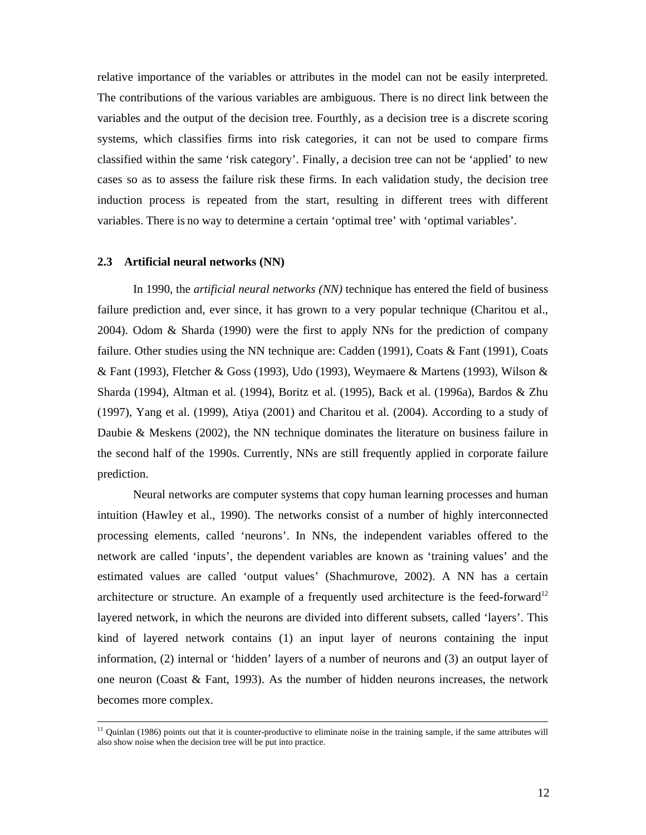relative importance of the variables or attributes in the model can not be easily interpreted. The contributions of the various variables are ambiguous. There is no direct link between the variables and the output of the decision tree. Fourthly, as a decision tree is a discrete scoring systems, which classifies firms into risk categories, it can not be used to compare firms classified within the same 'risk category'. Finally, a decision tree can not be 'applied' to new cases so as to assess the failure risk these firms. In each validation study, the decision tree induction process is repeated from the start, resulting in different trees with different variables. There is no way to determine a certain 'optimal tree' with 'optimal variables'.

### **2.3 Artificial neural networks (NN)**

 $\overline{a}$ 

In 1990, the *artificial neural networks (NN)* technique has entered the field of business failure prediction and, ever since, it has grown to a very popular technique (Charitou et al., 2004). Odom & Sharda (1990) were the first to apply NNs for the prediction of company failure. Other studies using the NN technique are: Cadden (1991), Coats & Fant (1991), Coats & Fant (1993), Fletcher & Goss (1993), Udo (1993), Weymaere & Martens (1993), Wilson & Sharda (1994), Altman et al. (1994), Boritz et al. (1995), Back et al. (1996a), Bardos & Zhu (1997), Yang et al. (1999), Atiya (2001) and Charitou et al. (2004). According to a study of Daubie & Meskens (2002), the NN technique dominates the literature on business failure in the second half of the 1990s. Currently, NNs are still frequently applied in corporate failure prediction.

Neural networks are computer systems that copy human learning processes and human intuition (Hawley et al., 1990). The networks consist of a number of highly interconnected processing elements, called 'neurons'. In NNs, the independent variables offered to the network are called 'inputs', the dependent variables are known as 'training values' and the estimated values are called 'output values' (Shachmurove, 2002). A NN has a certain architecture or structure. An example of a frequently used architecture is the feed-forward<sup>12</sup> layered network, in which the neurons are divided into different subsets, called 'layers'. This kind of layered network contains (1) an input layer of neurons containing the input information, (2) internal or 'hidden' layers of a number of neurons and (3) an output layer of one neuron (Coast & Fant, 1993). As the number of hidden neurons increases, the network becomes more complex.

<sup>&</sup>lt;sup>11</sup> Quinlan (1986) points out that it is counter-productive to eliminate noise in the training sample, if the same attributes will also show noise when the decision tree will be put into practice.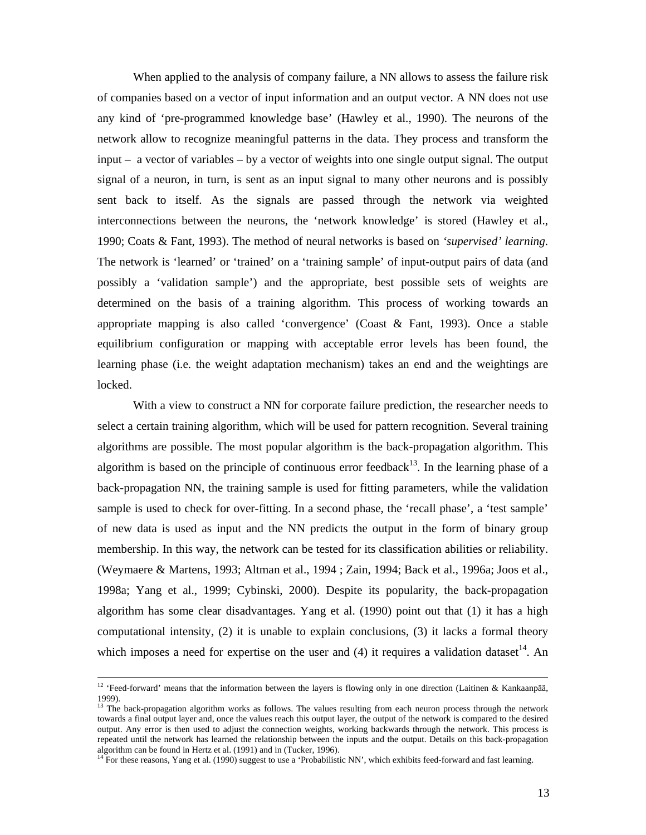When applied to the analysis of company failure, a NN allows to assess the failure risk of companies based on a vector of input information and an output vector. A NN does not use any kind of 'pre-programmed knowledge base' (Hawley et al., 1990). The neurons of the network allow to recognize meaningful patterns in the data. They process and transform the input – a vector of variables – by a vector of weights into one single output signal. The output signal of a neuron, in turn, is sent as an input signal to many other neurons and is possibly sent back to itself. As the signals are passed through the network via weighted interconnections between the neurons, the 'network knowledge' is stored (Hawley et al., 1990; Coats & Fant, 1993). The method of neural networks is based on *'supervised' learning*. The network is 'learned' or 'trained' on a 'training sample' of input-output pairs of data (and possibly a 'validation sample') and the appropriate, best possible sets of weights are determined on the basis of a training algorithm. This process of working towards an appropriate mapping is also called 'convergence' (Coast & Fant, 1993). Once a stable equilibrium configuration or mapping with acceptable error levels has been found, the learning phase (i.e. the weight adaptation mechanism) takes an end and the weightings are locked.

With a view to construct a NN for corporate failure prediction, the researcher needs to select a certain training algorithm, which will be used for pattern recognition. Several training algorithms are possible. The most popular algorithm is the back-propagation algorithm. This algorithm is based on the principle of continuous error feedback<sup>13</sup>. In the learning phase of a back-propagation NN, the training sample is used for fitting parameters, while the validation sample is used to check for over-fitting. In a second phase, the 'recall phase', a 'test sample' of new data is used as input and the NN predicts the output in the form of binary group membership. In this way, the network can be tested for its classification abilities or reliability. (Weymaere & Martens, 1993; Altman et al., 1994 ; Zain, 1994; Back et al., 1996a; Joos et al., 1998a; Yang et al., 1999; Cybinski, 2000). Despite its popularity, the back-propagation algorithm has some clear disadvantages. Yang et al. (1990) point out that (1) it has a high computational intensity, (2) it is unable to explain conclusions, (3) it lacks a formal theory which imposes a need for expertise on the user and  $(4)$  it requires a validation dataset<sup>14</sup>. An

<sup>&</sup>lt;sup>12</sup> 'Feed-forward' means that the information between the layers is flowing only in one direction (Laitinen & Kankaanpää, 1999).

<sup>&</sup>lt;sup>13</sup> The back-propagation algorithm works as follows. The values resulting from each neuron process through the network towards a final output layer and, once the values reach this output layer, the output of the network is compared to the desired output. Any error is then used to adjust the connection weights, working backwards through the network. This process is repeated until the network has learned the relationship between the inputs and the output. Details on this back-propagation algorithm can be found in Hertz et al. (1991) and in (Tucker, 1996).

<sup>&</sup>lt;sup>14</sup> For these reasons, Yang et al. (1990) suggest to use a 'Probabilistic NN', which exhibits feed-forward and fast learning.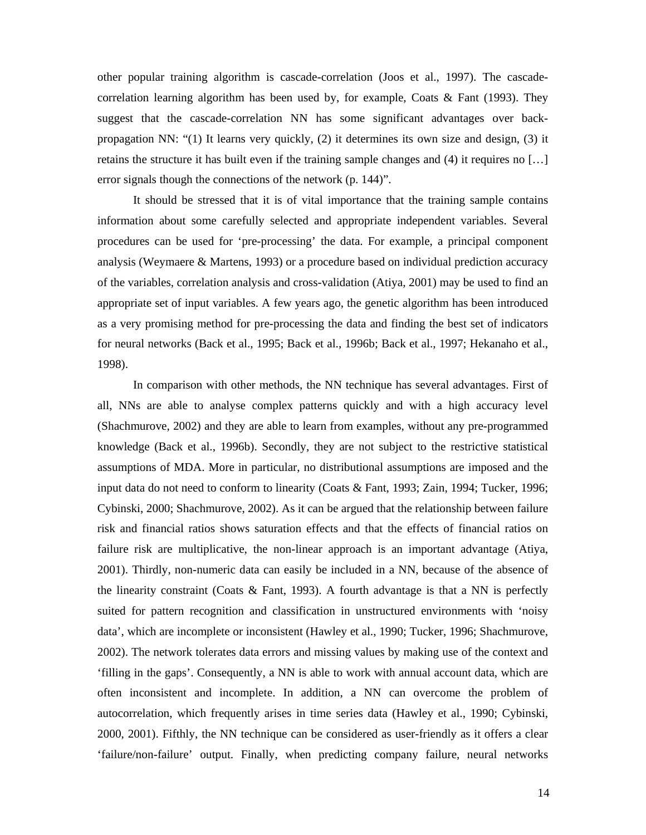other popular training algorithm is cascade-correlation (Joos et al., 1997). The cascadecorrelation learning algorithm has been used by, for example, Coats  $\&$  Fant (1993). They suggest that the cascade-correlation NN has some significant advantages over backpropagation NN: "(1) It learns very quickly, (2) it determines its own size and design, (3) it retains the structure it has built even if the training sample changes and (4) it requires no […] error signals though the connections of the network (p. 144)".

It should be stressed that it is of vital importance that the training sample contains information about some carefully selected and appropriate independent variables. Several procedures can be used for 'pre-processing' the data. For example, a principal component analysis (Weymaere & Martens, 1993) or a procedure based on individual prediction accuracy of the variables, correlation analysis and cross-validation (Atiya, 2001) may be used to find an appropriate set of input variables. A few years ago, the genetic algorithm has been introduced as a very promising method for pre-processing the data and finding the best set of indicators for neural networks (Back et al., 1995; Back et al., 1996b; Back et al., 1997; Hekanaho et al., 1998).

In comparison with other methods, the NN technique has several advantages. First of all, NNs are able to analyse complex patterns quickly and with a high accuracy level (Shachmurove, 2002) and they are able to learn from examples, without any pre-programmed knowledge (Back et al., 1996b). Secondly, they are not subject to the restrictive statistical assumptions of MDA. More in particular, no distributional assumptions are imposed and the input data do not need to conform to linearity (Coats & Fant, 1993; Zain, 1994; Tucker, 1996; Cybinski, 2000; Shachmurove, 2002). As it can be argued that the relationship between failure risk and financial ratios shows saturation effects and that the effects of financial ratios on failure risk are multiplicative, the non-linear approach is an important advantage (Atiya, 2001). Thirdly, non-numeric data can easily be included in a NN, because of the absence of the linearity constraint (Coats & Fant, 1993). A fourth advantage is that a NN is perfectly suited for pattern recognition and classification in unstructured environments with 'noisy data', which are incomplete or inconsistent (Hawley et al., 1990; Tucker, 1996; Shachmurove, 2002). The network tolerates data errors and missing values by making use of the context and 'filling in the gaps'. Consequently, a NN is able to work with annual account data, which are often inconsistent and incomplete. In addition, a NN can overcome the problem of autocorrelation, which frequently arises in time series data (Hawley et al., 1990; Cybinski, 2000, 2001). Fifthly, the NN technique can be considered as user-friendly as it offers a clear 'failure/non-failure' output. Finally, when predicting company failure, neural networks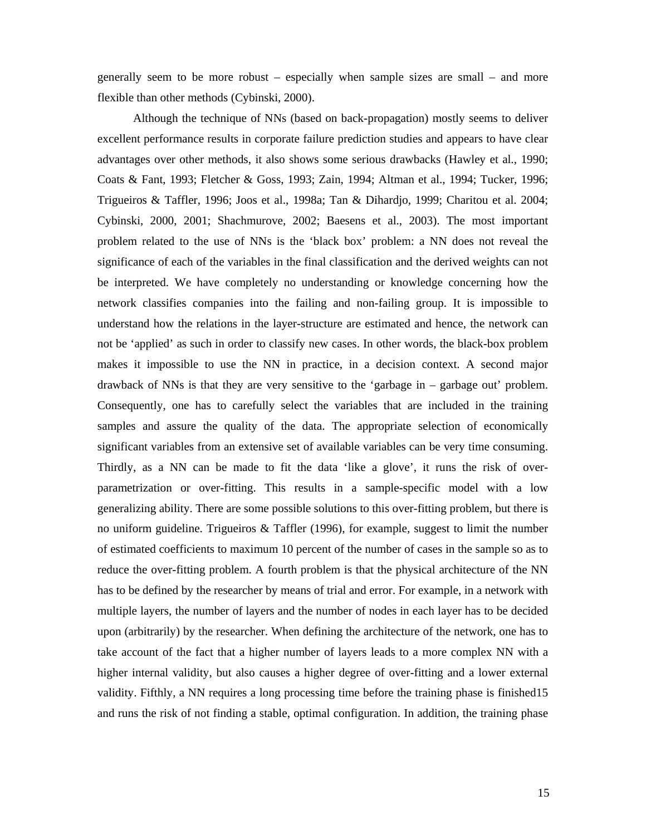generally seem to be more robust – especially when sample sizes are small – and more flexible than other methods (Cybinski, 2000).

Although the technique of NNs (based on back-propagation) mostly seems to deliver excellent performance results in corporate failure prediction studies and appears to have clear advantages over other methods, it also shows some serious drawbacks (Hawley et al., 1990; Coats & Fant, 1993; Fletcher & Goss, 1993; Zain, 1994; Altman et al., 1994; Tucker, 1996; Trigueiros & Taffler, 1996; Joos et al., 1998a; Tan & Dihardjo, 1999; Charitou et al. 2004; Cybinski, 2000, 2001; Shachmurove, 2002; Baesens et al., 2003). The most important problem related to the use of NNs is the 'black box' problem: a NN does not reveal the significance of each of the variables in the final classification and the derived weights can not be interpreted. We have completely no understanding or knowledge concerning how the network classifies companies into the failing and non-failing group. It is impossible to understand how the relations in the layer-structure are estimated and hence, the network can not be 'applied' as such in order to classify new cases. In other words, the black-box problem makes it impossible to use the NN in practice, in a decision context. A second major drawback of NNs is that they are very sensitive to the 'garbage in – garbage out' problem. Consequently, one has to carefully select the variables that are included in the training samples and assure the quality of the data. The appropriate selection of economically significant variables from an extensive set of available variables can be very time consuming. Thirdly, as a NN can be made to fit the data 'like a glove', it runs the risk of overparametrization or over-fitting. This results in a sample-specific model with a low generalizing ability. There are some possible solutions to this over-fitting problem, but there is no uniform guideline. Trigueiros & Taffler (1996), for example, suggest to limit the number of estimated coefficients to maximum 10 percent of the number of cases in the sample so as to reduce the over-fitting problem. A fourth problem is that the physical architecture of the NN has to be defined by the researcher by means of trial and error. For example, in a network with multiple layers, the number of layers and the number of nodes in each layer has to be decided upon (arbitrarily) by the researcher. When defining the architecture of the network, one has to take account of the fact that a higher number of layers leads to a more complex NN with a higher internal validity, but also causes a higher degree of over-fitting and a lower external validity. Fifthly, a NN requires a long processing time before the training phase is finished15 and runs the risk of not finding a stable, optimal configuration. In addition, the training phase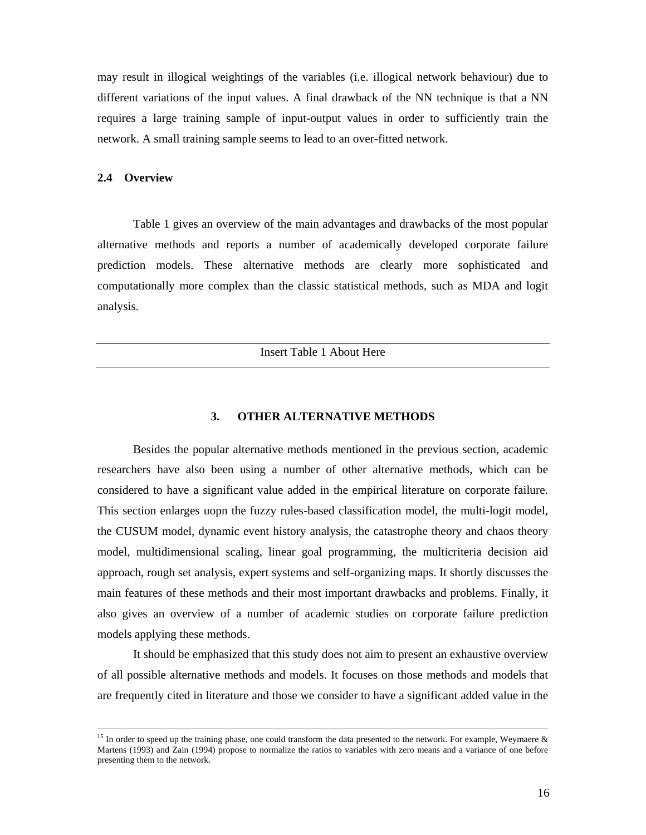may result in illogical weightings of the variables (i.e. illogical network behaviour) due to different variations of the input values. A final drawback of the NN technique is that a NN requires a large training sample of input-output values in order to sufficiently train the network. A small training sample seems to lead to an over-fitted network.

#### **2.4 Overview**

 $\overline{a}$ 

Table 1 gives an overview of the main advantages and drawbacks of the most popular alternative methods and reports a number of academically developed corporate failure prediction models. These alternative methods are clearly more sophisticated and computationally more complex than the classic statistical methods, such as MDA and logit analysis.

Insert Table 1 About Here

### **3. OTHER ALTERNATIVE METHODS**

Besides the popular alternative methods mentioned in the previous section, academic researchers have also been using a number of other alternative methods, which can be considered to have a significant value added in the empirical literature on corporate failure. This section enlarges uopn the fuzzy rules-based classification model, the multi-logit model, the CUSUM model, dynamic event history analysis, the catastrophe theory and chaos theory model, multidimensional scaling, linear goal programming, the multicriteria decision aid approach, rough set analysis, expert systems and self-organizing maps. It shortly discusses the main features of these methods and their most important drawbacks and problems. Finally, it also gives an overview of a number of academic studies on corporate failure prediction models applying these methods.

It should be emphasized that this study does not aim to present an exhaustive overview of all possible alternative methods and models. It focuses on those methods and models that are frequently cited in literature and those we consider to have a significant added value in the

<sup>&</sup>lt;sup>15</sup> In order to speed up the training phase, one could transform the data presented to the network. For example, Weymaere  $\&$ Martens (1993) and Zain (1994) propose to normalize the ratios to variables with zero means and a variance of one before presenting them to the network.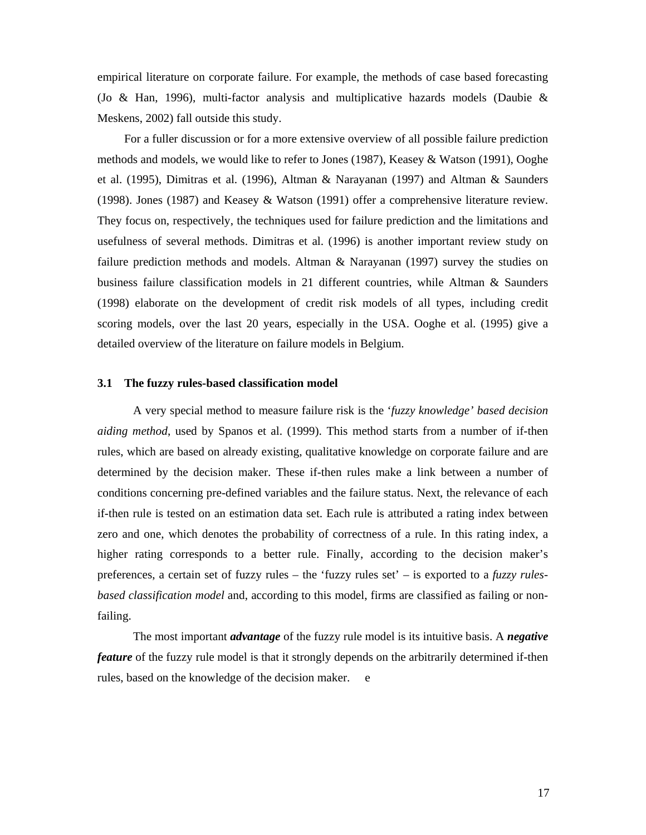empirical literature on corporate failure. For example, the methods of case based forecasting (Jo & Han, 1996), multi-factor analysis and multiplicative hazards models (Daubie & Meskens, 2002) fall outside this study.

For a fuller discussion or for a more extensive overview of all possible failure prediction methods and models, we would like to refer to Jones (1987), Keasey & Watson (1991), Ooghe et al. (1995), Dimitras et al. (1996), Altman & Narayanan (1997) and Altman & Saunders (1998). Jones (1987) and Keasey & Watson (1991) offer a comprehensive literature review. They focus on, respectively, the techniques used for failure prediction and the limitations and usefulness of several methods. Dimitras et al. (1996) is another important review study on failure prediction methods and models. Altman & Narayanan (1997) survey the studies on business failure classification models in 21 different countries, while Altman & Saunders (1998) elaborate on the development of credit risk models of all types, including credit scoring models, over the last 20 years, especially in the USA. Ooghe et al. (1995) give a detailed overview of the literature on failure models in Belgium.

### **3.1 The fuzzy rules-based classification model**

A very special method to measure failure risk is the '*fuzzy knowledge' based decision aiding method*, used by Spanos et al. (1999). This method starts from a number of if-then rules, which are based on already existing, qualitative knowledge on corporate failure and are determined by the decision maker. These if-then rules make a link between a number of conditions concerning pre-defined variables and the failure status. Next, the relevance of each if-then rule is tested on an estimation data set. Each rule is attributed a rating index between zero and one, which denotes the probability of correctness of a rule. In this rating index, a higher rating corresponds to a better rule. Finally, according to the decision maker's preferences, a certain set of fuzzy rules – the 'fuzzy rules set' – is exported to a *fuzzy rulesbased classification model* and, according to this model, firms are classified as failing or nonfailing.

The most important *advantage* of the fuzzy rule model is its intuitive basis. A *negative feature* of the fuzzy rule model is that it strongly depends on the arbitrarily determined if-then rules, based on the knowledge of the decision maker. e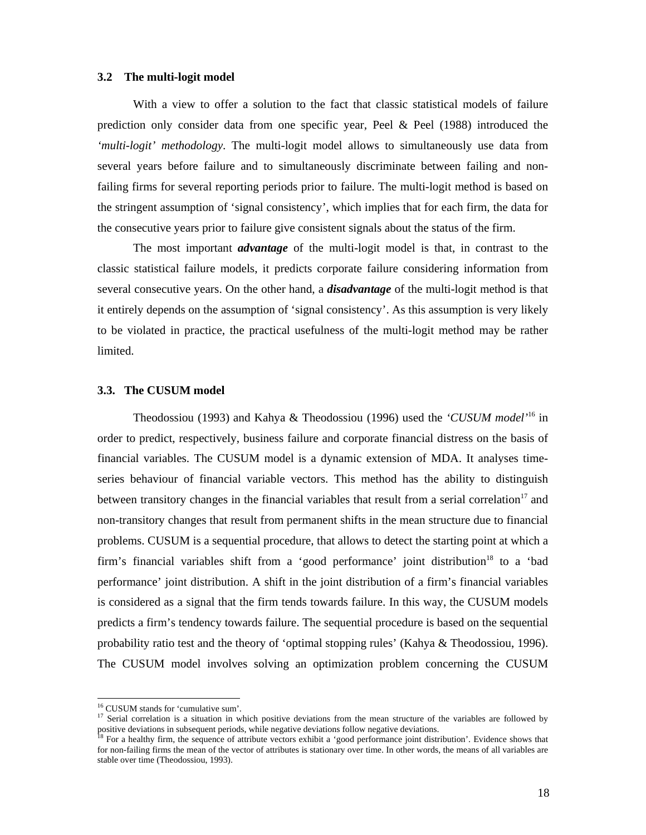#### **3.2 The multi-logit model**

With a view to offer a solution to the fact that classic statistical models of failure prediction only consider data from one specific year, Peel & Peel (1988) introduced the *'multi-logit' methodology*. The multi-logit model allows to simultaneously use data from several years before failure and to simultaneously discriminate between failing and nonfailing firms for several reporting periods prior to failure. The multi-logit method is based on the stringent assumption of 'signal consistency', which implies that for each firm, the data for the consecutive years prior to failure give consistent signals about the status of the firm.

The most important *advantage* of the multi-logit model is that, in contrast to the classic statistical failure models, it predicts corporate failure considering information from several consecutive years. On the other hand, a *disadvantage* of the multi-logit method is that it entirely depends on the assumption of 'signal consistency'. As this assumption is very likely to be violated in practice, the practical usefulness of the multi-logit method may be rather limited.

#### **3.3. The CUSUM model**

Theodossiou (1993) and Kahya & Theodossiou (1996) used the *'CUSUM model'*<sup>16</sup> in order to predict, respectively, business failure and corporate financial distress on the basis of financial variables. The CUSUM model is a dynamic extension of MDA. It analyses timeseries behaviour of financial variable vectors. This method has the ability to distinguish between transitory changes in the financial variables that result from a serial correlation<sup>17</sup> and non-transitory changes that result from permanent shifts in the mean structure due to financial problems. CUSUM is a sequential procedure, that allows to detect the starting point at which a firm's financial variables shift from a 'good performance' joint distribution<sup>18</sup> to a 'bad performance' joint distribution. A shift in the joint distribution of a firm's financial variables is considered as a signal that the firm tends towards failure. In this way, the CUSUM models predicts a firm's tendency towards failure. The sequential procedure is based on the sequential probability ratio test and the theory of 'optimal stopping rules' (Kahya & Theodossiou, 1996). The CUSUM model involves solving an optimization problem concerning the CUSUM

<sup>16</sup> CUSUM stands for 'cumulative sum'.

<sup>&</sup>lt;sup>17</sup> Serial correlation is a situation in which positive deviations from the mean structure of the variables are followed by positive deviations in subsequent periods, while negative deviations follow negative deviations.

<sup>&</sup>lt;sup>18</sup> For a healthy firm, the sequence of attribute vectors exhibit a 'good performance joint distribution'. Evidence shows that for non-failing firms the mean of the vector of attributes is stationary over time. In other words, the means of all variables are stable over time (Theodossiou, 1993).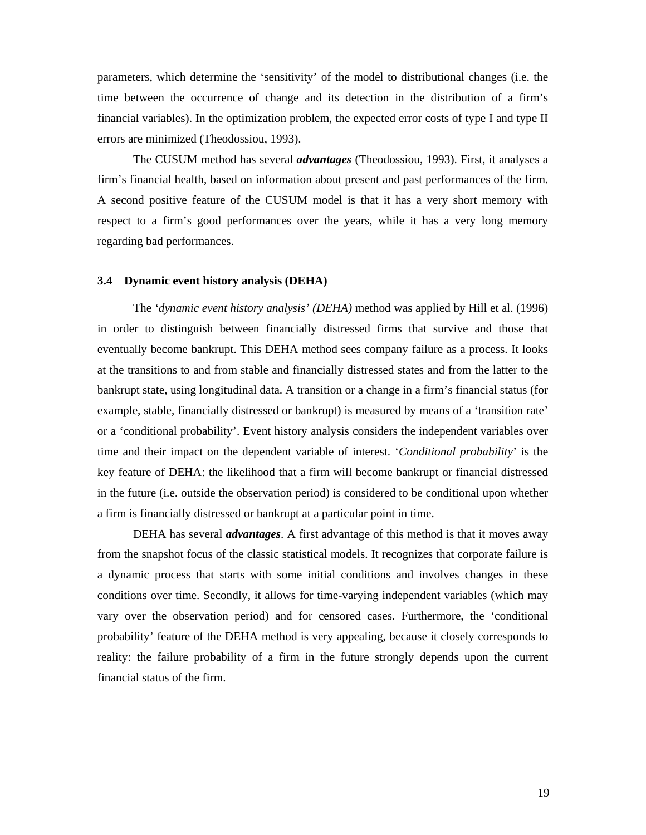parameters, which determine the 'sensitivity' of the model to distributional changes (i.e. the time between the occurrence of change and its detection in the distribution of a firm's financial variables). In the optimization problem, the expected error costs of type I and type II errors are minimized (Theodossiou, 1993).

The CUSUM method has several *advantages* (Theodossiou, 1993). First, it analyses a firm's financial health, based on information about present and past performances of the firm. A second positive feature of the CUSUM model is that it has a very short memory with respect to a firm's good performances over the years, while it has a very long memory regarding bad performances.

#### **3.4 Dynamic event history analysis (DEHA)**

The *'dynamic event history analysis' (DEHA)* method was applied by Hill et al. (1996) in order to distinguish between financially distressed firms that survive and those that eventually become bankrupt. This DEHA method sees company failure as a process. It looks at the transitions to and from stable and financially distressed states and from the latter to the bankrupt state, using longitudinal data. A transition or a change in a firm's financial status (for example, stable, financially distressed or bankrupt) is measured by means of a 'transition rate' or a 'conditional probability'. Event history analysis considers the independent variables over time and their impact on the dependent variable of interest. '*Conditional probability*' is the key feature of DEHA: the likelihood that a firm will become bankrupt or financial distressed in the future (i.e. outside the observation period) is considered to be conditional upon whether a firm is financially distressed or bankrupt at a particular point in time.

DEHA has several *advantages*. A first advantage of this method is that it moves away from the snapshot focus of the classic statistical models. It recognizes that corporate failure is a dynamic process that starts with some initial conditions and involves changes in these conditions over time. Secondly, it allows for time-varying independent variables (which may vary over the observation period) and for censored cases. Furthermore, the 'conditional probability' feature of the DEHA method is very appealing, because it closely corresponds to reality: the failure probability of a firm in the future strongly depends upon the current financial status of the firm.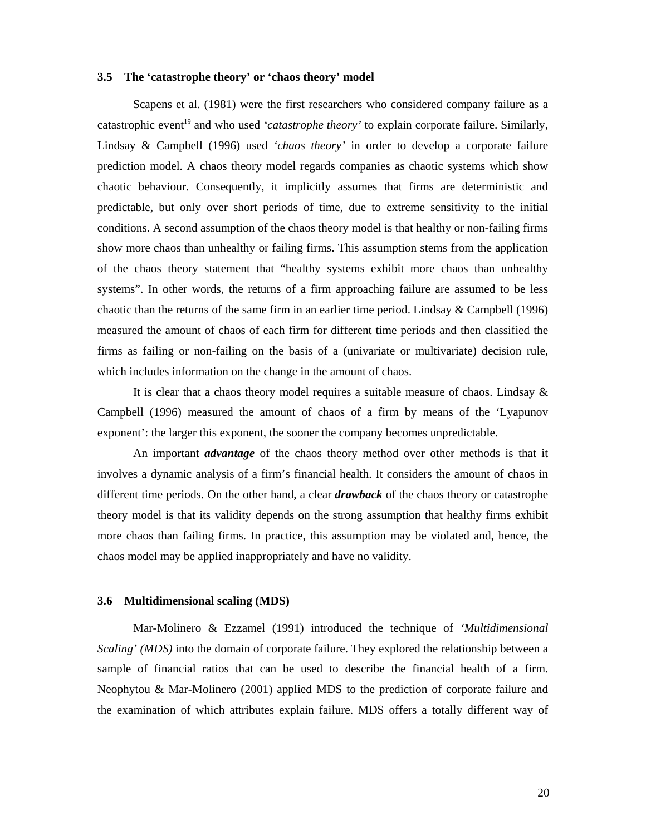## **3.5 The 'catastrophe theory' or 'chaos theory' model**

Scapens et al. (1981) were the first researchers who considered company failure as a catastrophic event<sup>19</sup> and who used *'catastrophe theory'* to explain corporate failure. Similarly, Lindsay & Campbell (1996) used *'chaos theory'* in order to develop a corporate failure prediction model. A chaos theory model regards companies as chaotic systems which show chaotic behaviour. Consequently, it implicitly assumes that firms are deterministic and predictable, but only over short periods of time, due to extreme sensitivity to the initial conditions. A second assumption of the chaos theory model is that healthy or non-failing firms show more chaos than unhealthy or failing firms. This assumption stems from the application of the chaos theory statement that "healthy systems exhibit more chaos than unhealthy systems". In other words, the returns of a firm approaching failure are assumed to be less chaotic than the returns of the same firm in an earlier time period. Lindsay & Campbell (1996) measured the amount of chaos of each firm for different time periods and then classified the firms as failing or non-failing on the basis of a (univariate or multivariate) decision rule, which includes information on the change in the amount of chaos.

It is clear that a chaos theory model requires a suitable measure of chaos. Lindsay & Campbell (1996) measured the amount of chaos of a firm by means of the 'Lyapunov exponent': the larger this exponent, the sooner the company becomes unpredictable.

An important *advantage* of the chaos theory method over other methods is that it involves a dynamic analysis of a firm's financial health. It considers the amount of chaos in different time periods. On the other hand, a clear *drawback* of the chaos theory or catastrophe theory model is that its validity depends on the strong assumption that healthy firms exhibit more chaos than failing firms. In practice, this assumption may be violated and, hence, the chaos model may be applied inappropriately and have no validity.

#### **3.6 Multidimensional scaling (MDS)**

Mar-Molinero & Ezzamel (1991) introduced the technique of *'Multidimensional Scaling' (MDS)* into the domain of corporate failure. They explored the relationship between a sample of financial ratios that can be used to describe the financial health of a firm. Neophytou & Mar-Molinero (2001) applied MDS to the prediction of corporate failure and the examination of which attributes explain failure. MDS offers a totally different way of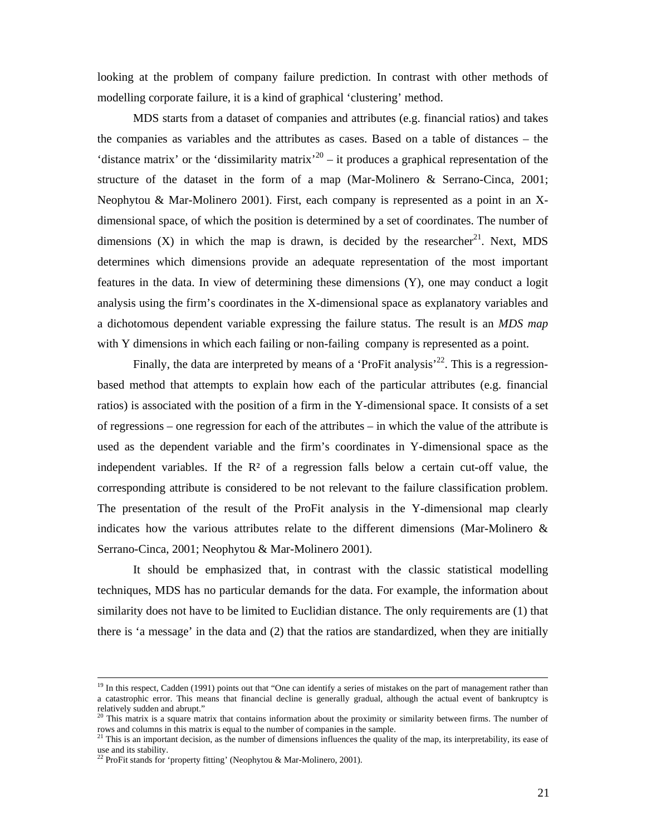looking at the problem of company failure prediction. In contrast with other methods of modelling corporate failure, it is a kind of graphical 'clustering' method.

MDS starts from a dataset of companies and attributes (e.g. financial ratios) and takes the companies as variables and the attributes as cases. Based on a table of distances – the 'distance matrix' or the 'dissimilarity matrix'<sup>20</sup> – it produces a graphical representation of the structure of the dataset in the form of a map (Mar-Molinero & Serrano-Cinca, 2001; Neophytou & Mar-Molinero 2001). First, each company is represented as a point in an Xdimensional space, of which the position is determined by a set of coordinates. The number of dimensions  $(X)$  in which the map is drawn, is decided by the researcher<sup>21</sup>. Next, MDS determines which dimensions provide an adequate representation of the most important features in the data. In view of determining these dimensions (Y), one may conduct a logit analysis using the firm's coordinates in the X-dimensional space as explanatory variables and a dichotomous dependent variable expressing the failure status. The result is an *MDS map* with Y dimensions in which each failing or non-failing company is represented as a point.

Finally, the data are interpreted by means of a 'ProFit analysis'<sup>22</sup>. This is a regressionbased method that attempts to explain how each of the particular attributes (e.g. financial ratios) is associated with the position of a firm in the Y-dimensional space. It consists of a set of regressions – one regression for each of the attributes – in which the value of the attribute is used as the dependent variable and the firm's coordinates in Y-dimensional space as the independent variables. If the  $\mathbb{R}^2$  of a regression falls below a certain cut-off value, the corresponding attribute is considered to be not relevant to the failure classification problem. The presentation of the result of the ProFit analysis in the Y-dimensional map clearly indicates how the various attributes relate to the different dimensions (Mar-Molinero  $\&$ Serrano-Cinca, 2001; Neophytou & Mar-Molinero 2001).

It should be emphasized that, in contrast with the classic statistical modelling techniques, MDS has no particular demands for the data. For example, the information about similarity does not have to be limited to Euclidian distance. The only requirements are (1) that there is 'a message' in the data and (2) that the ratios are standardized, when they are initially

 $19$  In this respect, Cadden (1991) points out that "One can identify a series of mistakes on the part of management rather than a catastrophic error. This means that financial decline is generally gradual, although the actual event of bankruptcy is relatively sudden and abrupt."

 $20$  This matrix is a square matrix that contains information about the proximity or similarity between firms. The number of rows and columns in this matrix is equal to the number of companies in the sample.

<sup>&</sup>lt;sup>21</sup> This is an important decision, as the number of dimensions influences the quality of the map, its interpretability, its ease of use and its stability.

<sup>&</sup>lt;sup>22</sup> ProFit stands for 'property fitting' (Neophytou & Mar-Molinero, 2001).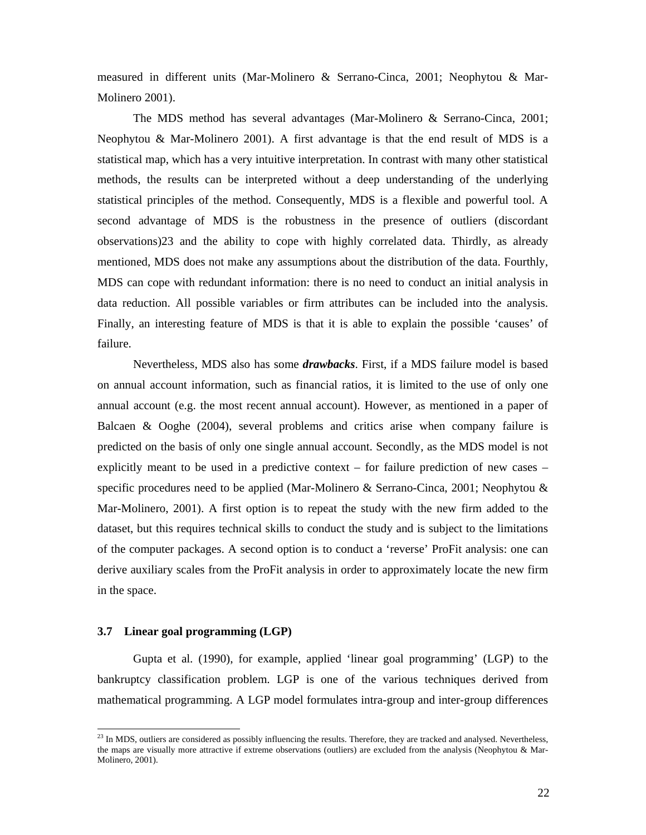measured in different units (Mar-Molinero & Serrano-Cinca, 2001; Neophytou & Mar-Molinero 2001).

The MDS method has several advantages (Mar-Molinero & Serrano-Cinca, 2001; Neophytou & Mar-Molinero 2001). A first advantage is that the end result of MDS is a statistical map, which has a very intuitive interpretation. In contrast with many other statistical methods, the results can be interpreted without a deep understanding of the underlying statistical principles of the method. Consequently, MDS is a flexible and powerful tool. A second advantage of MDS is the robustness in the presence of outliers (discordant observations)23 and the ability to cope with highly correlated data. Thirdly, as already mentioned, MDS does not make any assumptions about the distribution of the data. Fourthly, MDS can cope with redundant information: there is no need to conduct an initial analysis in data reduction. All possible variables or firm attributes can be included into the analysis. Finally, an interesting feature of MDS is that it is able to explain the possible 'causes' of failure.

Nevertheless, MDS also has some *drawbacks*. First, if a MDS failure model is based on annual account information, such as financial ratios, it is limited to the use of only one annual account (e.g. the most recent annual account). However, as mentioned in a paper of Balcaen & Ooghe (2004), several problems and critics arise when company failure is predicted on the basis of only one single annual account. Secondly, as the MDS model is not explicitly meant to be used in a predictive context – for failure prediction of new cases – specific procedures need to be applied (Mar-Molinero & Serrano-Cinca, 2001; Neophytou & Mar-Molinero, 2001). A first option is to repeat the study with the new firm added to the dataset, but this requires technical skills to conduct the study and is subject to the limitations of the computer packages. A second option is to conduct a 'reverse' ProFit analysis: one can derive auxiliary scales from the ProFit analysis in order to approximately locate the new firm in the space.

### **3.7 Linear goal programming (LGP)**

 $\overline{a}$ 

Gupta et al. (1990), for example, applied 'linear goal programming' (LGP) to the bankruptcy classification problem. LGP is one of the various techniques derived from mathematical programming. A LGP model formulates intra-group and inter-group differences

 $^{23}$  In MDS, outliers are considered as possibly influencing the results. Therefore, they are tracked and analysed. Nevertheless, the maps are visually more attractive if extreme observations (outliers) are excluded from the analysis (Neophytou & Mar-Molinero, 2001).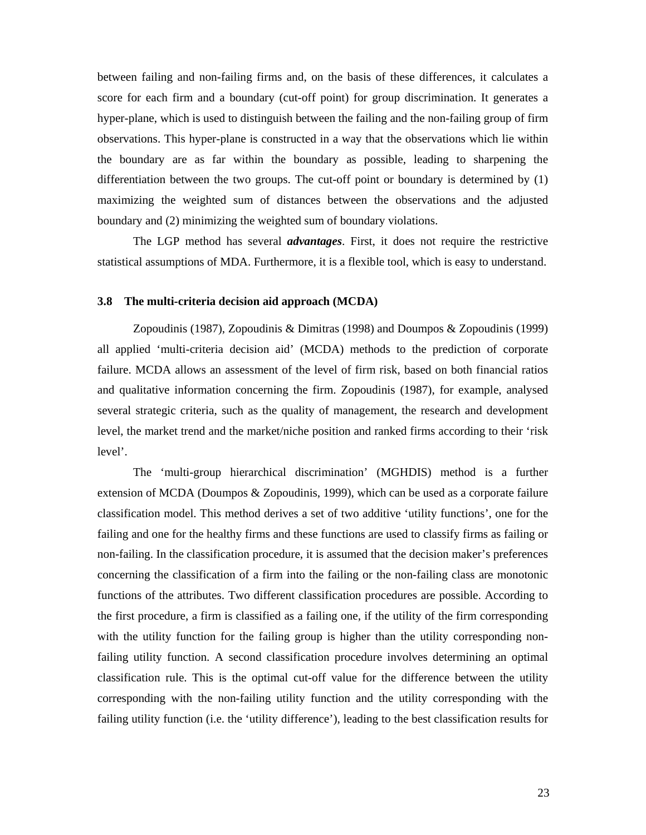between failing and non-failing firms and, on the basis of these differences, it calculates a score for each firm and a boundary (cut-off point) for group discrimination. It generates a hyper-plane, which is used to distinguish between the failing and the non-failing group of firm observations. This hyper-plane is constructed in a way that the observations which lie within the boundary are as far within the boundary as possible, leading to sharpening the differentiation between the two groups. The cut-off point or boundary is determined by (1) maximizing the weighted sum of distances between the observations and the adjusted boundary and (2) minimizing the weighted sum of boundary violations.

The LGP method has several *advantages*. First, it does not require the restrictive statistical assumptions of MDA. Furthermore, it is a flexible tool, which is easy to understand.

## **3.8 The multi-criteria decision aid approach (MCDA)**

Zopoudinis (1987), Zopoudinis & Dimitras (1998) and Doumpos & Zopoudinis (1999) all applied 'multi-criteria decision aid' (MCDA) methods to the prediction of corporate failure. MCDA allows an assessment of the level of firm risk, based on both financial ratios and qualitative information concerning the firm. Zopoudinis (1987), for example, analysed several strategic criteria, such as the quality of management, the research and development level, the market trend and the market/niche position and ranked firms according to their 'risk level'.

The 'multi-group hierarchical discrimination' (MGHDIS) method is a further extension of MCDA (Doumpos & Zopoudinis, 1999), which can be used as a corporate failure classification model. This method derives a set of two additive 'utility functions', one for the failing and one for the healthy firms and these functions are used to classify firms as failing or non-failing. In the classification procedure, it is assumed that the decision maker's preferences concerning the classification of a firm into the failing or the non-failing class are monotonic functions of the attributes. Two different classification procedures are possible. According to the first procedure, a firm is classified as a failing one, if the utility of the firm corresponding with the utility function for the failing group is higher than the utility corresponding nonfailing utility function. A second classification procedure involves determining an optimal classification rule. This is the optimal cut-off value for the difference between the utility corresponding with the non-failing utility function and the utility corresponding with the failing utility function (i.e. the 'utility difference'), leading to the best classification results for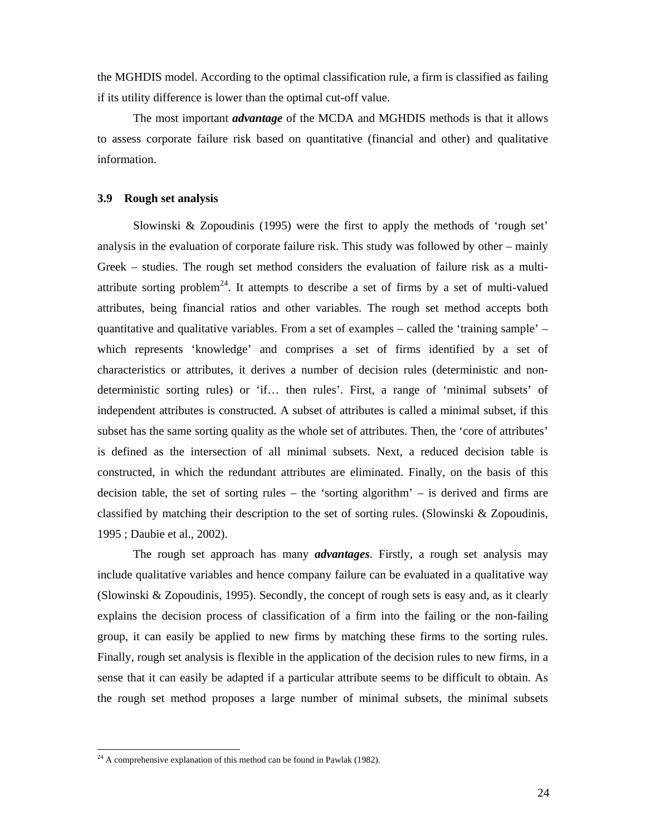the MGHDIS model. According to the optimal classification rule, a firm is classified as failing if its utility difference is lower than the optimal cut-off value.

The most important *advantage* of the MCDA and MGHDIS methods is that it allows to assess corporate failure risk based on quantitative (financial and other) and qualitative information.

### **3.9 Rough set analysis**

Slowinski & Zopoudinis (1995) were the first to apply the methods of 'rough set' analysis in the evaluation of corporate failure risk. This study was followed by other – mainly Greek – studies. The rough set method considers the evaluation of failure risk as a multiattribute sorting problem<sup>24</sup>. It attempts to describe a set of firms by a set of multi-valued attributes, being financial ratios and other variables. The rough set method accepts both quantitative and qualitative variables. From a set of examples – called the 'training sample' – which represents 'knowledge' and comprises a set of firms identified by a set of characteristics or attributes, it derives a number of decision rules (deterministic and nondeterministic sorting rules) or 'if… then rules'. First, a range of 'minimal subsets' of independent attributes is constructed. A subset of attributes is called a minimal subset, if this subset has the same sorting quality as the whole set of attributes. Then, the 'core of attributes' is defined as the intersection of all minimal subsets. Next, a reduced decision table is constructed, in which the redundant attributes are eliminated. Finally, on the basis of this decision table, the set of sorting rules – the 'sorting algorithm' – is derived and firms are classified by matching their description to the set of sorting rules. (Slowinski & Zopoudinis, 1995 ; Daubie et al., 2002).

The rough set approach has many *advantages*. Firstly, a rough set analysis may include qualitative variables and hence company failure can be evaluated in a qualitative way (Slowinski & Zopoudinis, 1995). Secondly, the concept of rough sets is easy and, as it clearly explains the decision process of classification of a firm into the failing or the non-failing group, it can easily be applied to new firms by matching these firms to the sorting rules. Finally, rough set analysis is flexible in the application of the decision rules to new firms, in a sense that it can easily be adapted if a particular attribute seems to be difficult to obtain. As the rough set method proposes a large number of minimal subsets, the minimal subsets

 $^{24}$  A comprehensive explanation of this method can be found in Pawlak (1982).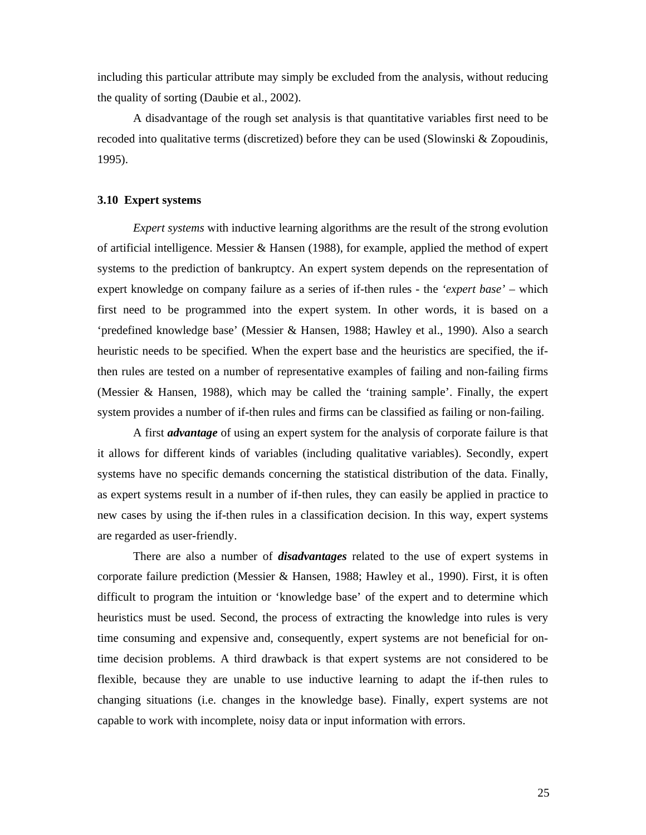including this particular attribute may simply be excluded from the analysis, without reducing the quality of sorting (Daubie et al., 2002).

A disadvantage of the rough set analysis is that quantitative variables first need to be recoded into qualitative terms (discretized) before they can be used (Slowinski  $\&$  Zopoudinis, 1995).

#### **3.10 Expert systems**

*Expert systems* with inductive learning algorithms are the result of the strong evolution of artificial intelligence. Messier  $\&$  Hansen (1988), for example, applied the method of expert systems to the prediction of bankruptcy. An expert system depends on the representation of expert knowledge on company failure as a series of if-then rules - the *'expert base'* – which first need to be programmed into the expert system. In other words, it is based on a 'predefined knowledge base' (Messier & Hansen, 1988; Hawley et al., 1990). Also a search heuristic needs to be specified. When the expert base and the heuristics are specified, the ifthen rules are tested on a number of representative examples of failing and non-failing firms (Messier & Hansen, 1988), which may be called the 'training sample'. Finally, the expert system provides a number of if-then rules and firms can be classified as failing or non-failing.

A first *advantage* of using an expert system for the analysis of corporate failure is that it allows for different kinds of variables (including qualitative variables). Secondly, expert systems have no specific demands concerning the statistical distribution of the data. Finally, as expert systems result in a number of if-then rules, they can easily be applied in practice to new cases by using the if-then rules in a classification decision. In this way, expert systems are regarded as user-friendly.

There are also a number of *disadvantages* related to the use of expert systems in corporate failure prediction (Messier & Hansen, 1988; Hawley et al., 1990). First, it is often difficult to program the intuition or 'knowledge base' of the expert and to determine which heuristics must be used. Second, the process of extracting the knowledge into rules is very time consuming and expensive and, consequently, expert systems are not beneficial for ontime decision problems. A third drawback is that expert systems are not considered to be flexible, because they are unable to use inductive learning to adapt the if-then rules to changing situations (i.e. changes in the knowledge base). Finally, expert systems are not capable to work with incomplete, noisy data or input information with errors.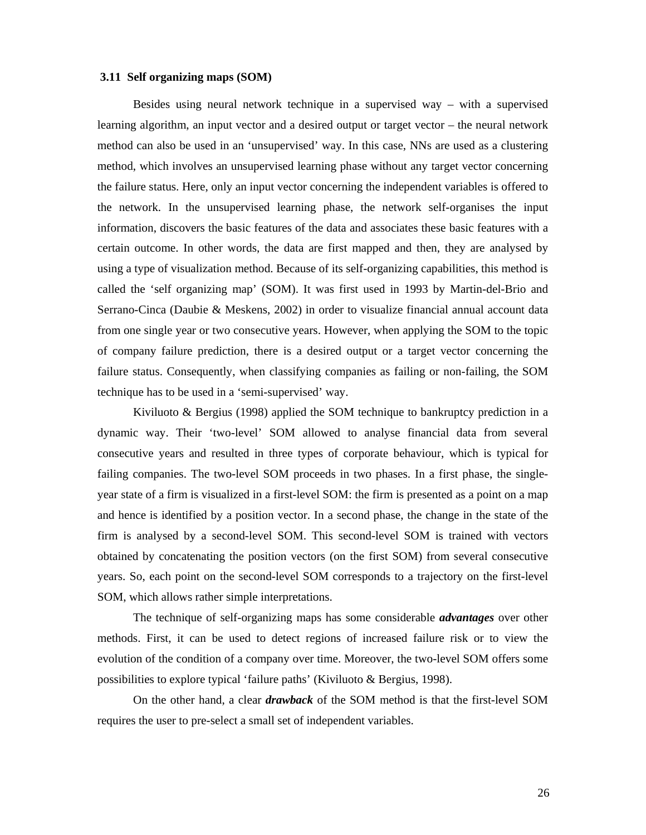#### **3.11 Self organizing maps (SOM)**

Besides using neural network technique in a supervised way – with a supervised learning algorithm, an input vector and a desired output or target vector – the neural network method can also be used in an 'unsupervised' way. In this case, NNs are used as a clustering method, which involves an unsupervised learning phase without any target vector concerning the failure status. Here, only an input vector concerning the independent variables is offered to the network. In the unsupervised learning phase, the network self-organises the input information, discovers the basic features of the data and associates these basic features with a certain outcome. In other words, the data are first mapped and then, they are analysed by using a type of visualization method. Because of its self-organizing capabilities, this method is called the 'self organizing map' (SOM). It was first used in 1993 by Martin-del-Brio and Serrano-Cinca (Daubie & Meskens, 2002) in order to visualize financial annual account data from one single year or two consecutive years. However, when applying the SOM to the topic of company failure prediction, there is a desired output or a target vector concerning the failure status. Consequently, when classifying companies as failing or non-failing, the SOM technique has to be used in a 'semi-supervised' way.

Kiviluoto & Bergius (1998) applied the SOM technique to bankruptcy prediction in a dynamic way. Their 'two-level' SOM allowed to analyse financial data from several consecutive years and resulted in three types of corporate behaviour, which is typical for failing companies. The two-level SOM proceeds in two phases. In a first phase, the singleyear state of a firm is visualized in a first-level SOM: the firm is presented as a point on a map and hence is identified by a position vector. In a second phase, the change in the state of the firm is analysed by a second-level SOM. This second-level SOM is trained with vectors obtained by concatenating the position vectors (on the first SOM) from several consecutive years. So, each point on the second-level SOM corresponds to a trajectory on the first-level SOM, which allows rather simple interpretations.

The technique of self-organizing maps has some considerable *advantages* over other methods. First, it can be used to detect regions of increased failure risk or to view the evolution of the condition of a company over time. Moreover, the two-level SOM offers some possibilities to explore typical 'failure paths' (Kiviluoto & Bergius, 1998).

On the other hand, a clear *drawback* of the SOM method is that the first-level SOM requires the user to pre-select a small set of independent variables.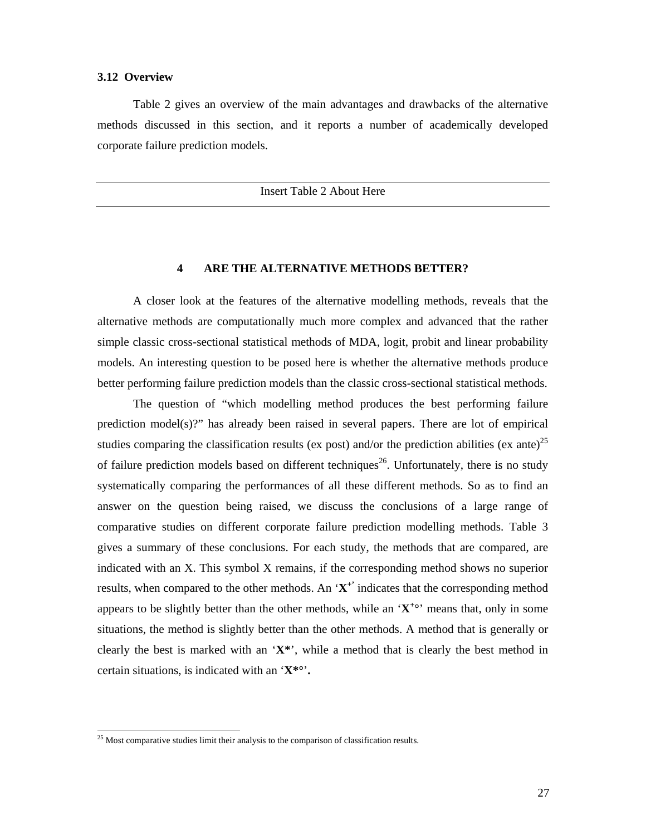## **3.12 Overview**

Table 2 gives an overview of the main advantages and drawbacks of the alternative methods discussed in this section, and it reports a number of academically developed corporate failure prediction models.

Insert Table 2 About Here

## **4 ARE THE ALTERNATIVE METHODS BETTER?**

A closer look at the features of the alternative modelling methods, reveals that the alternative methods are computationally much more complex and advanced that the rather simple classic cross-sectional statistical methods of MDA, logit, probit and linear probability models. An interesting question to be posed here is whether the alternative methods produce better performing failure prediction models than the classic cross-sectional statistical methods.

The question of "which modelling method produces the best performing failure prediction model(s)?" has already been raised in several papers. There are lot of empirical studies comparing the classification results (ex post) and/or the prediction abilities (ex ante)<sup>25</sup> of failure prediction models based on different techniques<sup>26</sup>. Unfortunately, there is no study systematically comparing the performances of all these different methods. So as to find an answer on the question being raised, we discuss the conclusions of a large range of comparative studies on different corporate failure prediction modelling methods. Table 3 gives a summary of these conclusions. For each study, the methods that are compared, are indicated with an X. This symbol X remains, if the corresponding method shows no superior results, when compared to the other methods. An '**X +'** indicates that the corresponding method appears to be slightly better than the other methods, while an ' $X^{+\circ}$ ' means that, only in some situations, the method is slightly better than the other methods. A method that is generally or clearly the best is marked with an '**X\***', while a method that is clearly the best method in certain situations, is indicated with an '**X\*°**'**.** 

 $25$  Most comparative studies limit their analysis to the comparison of classification results.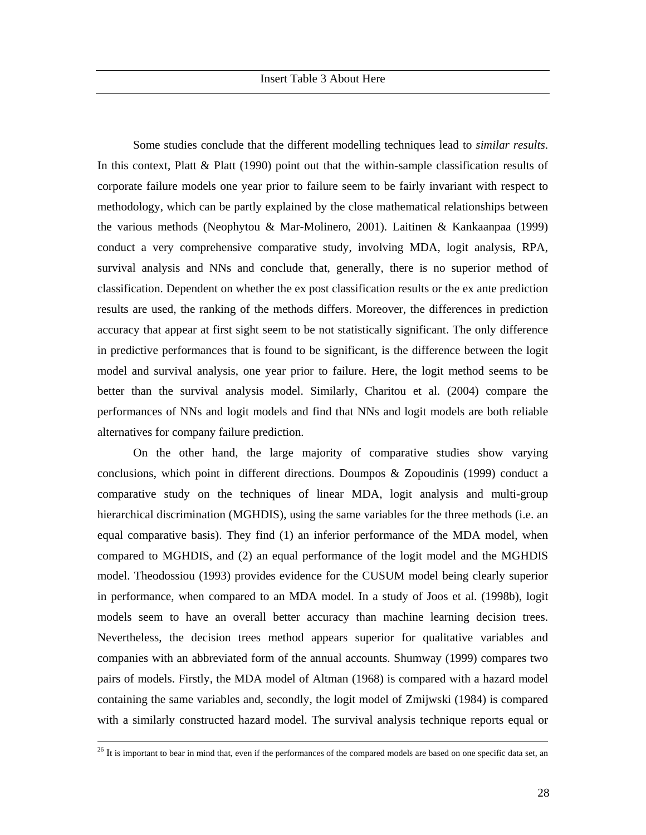Some studies conclude that the different modelling techniques lead to *similar results*. In this context, Platt & Platt (1990) point out that the within-sample classification results of corporate failure models one year prior to failure seem to be fairly invariant with respect to methodology, which can be partly explained by the close mathematical relationships between the various methods (Neophytou & Mar-Molinero, 2001). Laitinen & Kankaanpaa (1999) conduct a very comprehensive comparative study, involving MDA, logit analysis, RPA, survival analysis and NNs and conclude that, generally, there is no superior method of classification. Dependent on whether the ex post classification results or the ex ante prediction results are used, the ranking of the methods differs. Moreover, the differences in prediction accuracy that appear at first sight seem to be not statistically significant. The only difference in predictive performances that is found to be significant, is the difference between the logit model and survival analysis, one year prior to failure. Here, the logit method seems to be better than the survival analysis model. Similarly, Charitou et al. (2004) compare the performances of NNs and logit models and find that NNs and logit models are both reliable alternatives for company failure prediction.

On the other hand, the large majority of comparative studies show varying conclusions, which point in different directions. Doumpos & Zopoudinis (1999) conduct a comparative study on the techniques of linear MDA, logit analysis and multi-group hierarchical discrimination (MGHDIS), using the same variables for the three methods (i.e. an equal comparative basis). They find (1) an inferior performance of the MDA model, when compared to MGHDIS, and (2) an equal performance of the logit model and the MGHDIS model. Theodossiou (1993) provides evidence for the CUSUM model being clearly superior in performance, when compared to an MDA model. In a study of Joos et al. (1998b), logit models seem to have an overall better accuracy than machine learning decision trees. Nevertheless, the decision trees method appears superior for qualitative variables and companies with an abbreviated form of the annual accounts. Shumway (1999) compares two pairs of models. Firstly, the MDA model of Altman (1968) is compared with a hazard model containing the same variables and, secondly, the logit model of Zmijwski (1984) is compared with a similarly constructed hazard model. The survival analysis technique reports equal or

<sup>&</sup>lt;sup>26</sup> It is important to bear in mind that, even if the performances of the compared models are based on one specific data set, an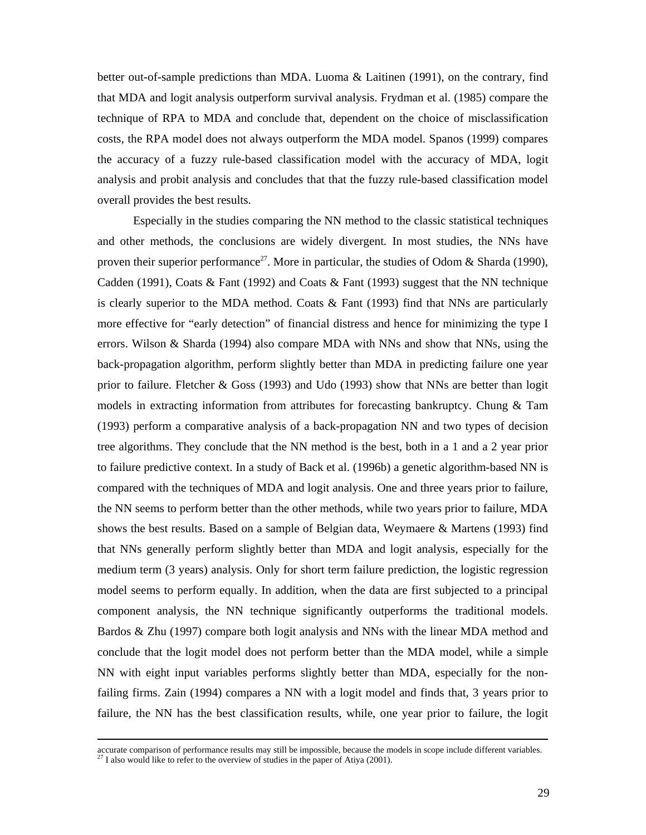better out-of-sample predictions than MDA. Luoma & Laitinen (1991), on the contrary, find that MDA and logit analysis outperform survival analysis. Frydman et al. (1985) compare the technique of RPA to MDA and conclude that, dependent on the choice of misclassification costs, the RPA model does not always outperform the MDA model. Spanos (1999) compares the accuracy of a fuzzy rule-based classification model with the accuracy of MDA, logit analysis and probit analysis and concludes that that the fuzzy rule-based classification model overall provides the best results.

Especially in the studies comparing the NN method to the classic statistical techniques and other methods, the conclusions are widely divergent*.* In most studies, the NNs have proven their superior performance<sup>27</sup>. More in particular, the studies of Odom & Sharda (1990), Cadden (1991), Coats & Fant (1992) and Coats & Fant (1993) suggest that the NN technique is clearly superior to the MDA method. Coats & Fant (1993) find that NNs are particularly more effective for "early detection" of financial distress and hence for minimizing the type I errors. Wilson & Sharda (1994) also compare MDA with NNs and show that NNs, using the back-propagation algorithm, perform slightly better than MDA in predicting failure one year prior to failure. Fletcher & Goss (1993) and Udo (1993) show that NNs are better than logit models in extracting information from attributes for forecasting bankruptcy. Chung & Tam (1993) perform a comparative analysis of a back-propagation NN and two types of decision tree algorithms. They conclude that the NN method is the best, both in a 1 and a 2 year prior to failure predictive context. In a study of Back et al. (1996b) a genetic algorithm-based NN is compared with the techniques of MDA and logit analysis. One and three years prior to failure, the NN seems to perform better than the other methods, while two years prior to failure, MDA shows the best results. Based on a sample of Belgian data, Weymaere & Martens (1993) find that NNs generally perform slightly better than MDA and logit analysis, especially for the medium term (3 years) analysis. Only for short term failure prediction, the logistic regression model seems to perform equally. In addition, when the data are first subjected to a principal component analysis, the NN technique significantly outperforms the traditional models. Bardos & Zhu (1997) compare both logit analysis and NNs with the linear MDA method and conclude that the logit model does not perform better than the MDA model, while a simple NN with eight input variables performs slightly better than MDA, especially for the nonfailing firms. Zain (1994) compares a NN with a logit model and finds that, 3 years prior to failure, the NN has the best classification results, while, one year prior to failure, the logit

accurate comparison of performance results may still be impossible, because the models in scope include different variables.  $^{27}$  I also would like to refer to the overview of studies in the paper of Atiya (2001).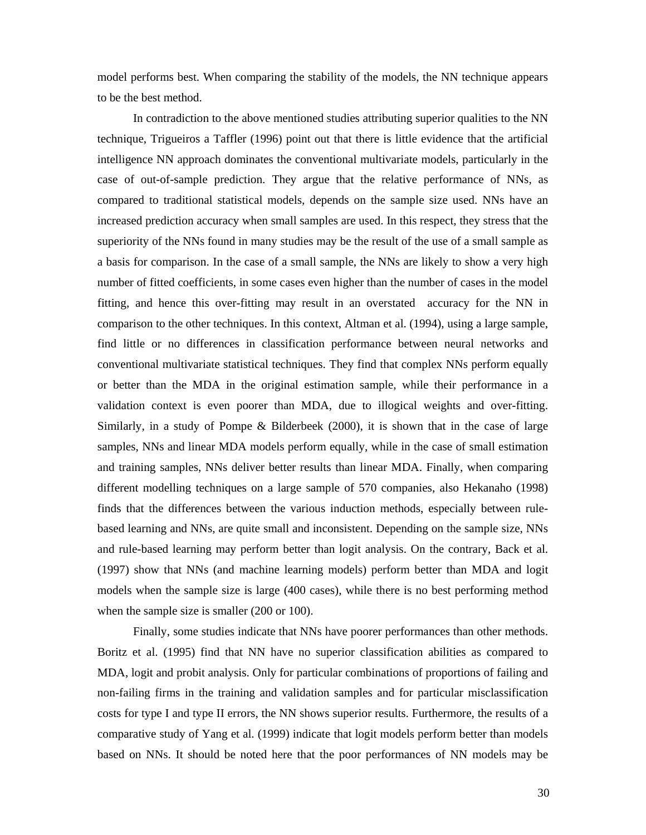model performs best. When comparing the stability of the models, the NN technique appears to be the best method.

In contradiction to the above mentioned studies attributing superior qualities to the NN technique, Trigueiros a Taffler (1996) point out that there is little evidence that the artificial intelligence NN approach dominates the conventional multivariate models, particularly in the case of out-of-sample prediction. They argue that the relative performance of NNs, as compared to traditional statistical models, depends on the sample size used. NNs have an increased prediction accuracy when small samples are used. In this respect, they stress that the superiority of the NNs found in many studies may be the result of the use of a small sample as a basis for comparison. In the case of a small sample, the NNs are likely to show a very high number of fitted coefficients, in some cases even higher than the number of cases in the model fitting, and hence this over-fitting may result in an overstated accuracy for the NN in comparison to the other techniques. In this context, Altman et al. (1994), using a large sample, find little or no differences in classification performance between neural networks and conventional multivariate statistical techniques. They find that complex NNs perform equally or better than the MDA in the original estimation sample, while their performance in a validation context is even poorer than MDA, due to illogical weights and over-fitting. Similarly, in a study of Pompe & Bilderbeek (2000), it is shown that in the case of large samples, NNs and linear MDA models perform equally, while in the case of small estimation and training samples, NNs deliver better results than linear MDA. Finally, when comparing different modelling techniques on a large sample of 570 companies, also Hekanaho (1998) finds that the differences between the various induction methods, especially between rulebased learning and NNs, are quite small and inconsistent. Depending on the sample size, NNs and rule-based learning may perform better than logit analysis. On the contrary, Back et al. (1997) show that NNs (and machine learning models) perform better than MDA and logit models when the sample size is large (400 cases), while there is no best performing method when the sample size is smaller (200 or 100).

Finally, some studies indicate that NNs have poorer performances than other methods. Boritz et al. (1995) find that NN have no superior classification abilities as compared to MDA, logit and probit analysis. Only for particular combinations of proportions of failing and non-failing firms in the training and validation samples and for particular misclassification costs for type I and type II errors, the NN shows superior results. Furthermore, the results of a comparative study of Yang et al. (1999) indicate that logit models perform better than models based on NNs. It should be noted here that the poor performances of NN models may be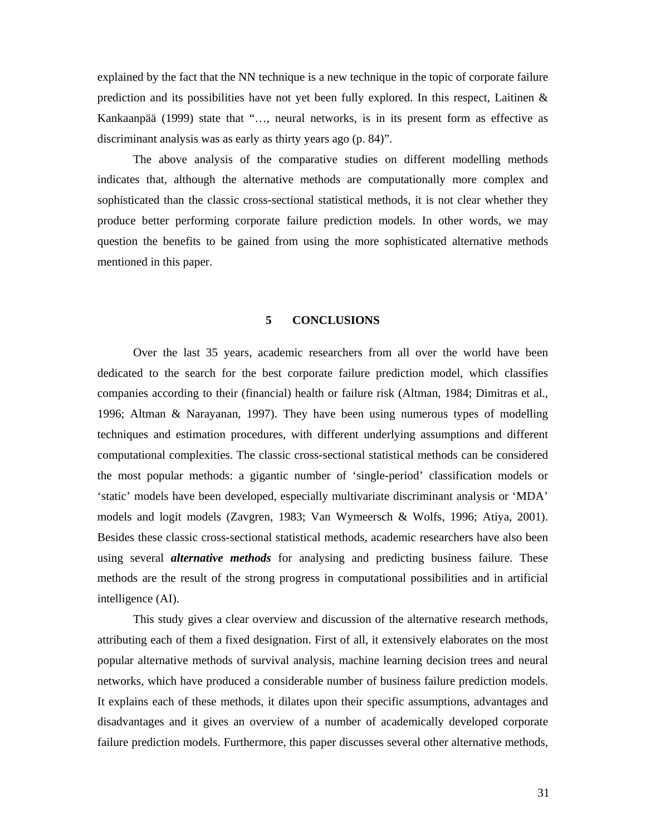explained by the fact that the NN technique is a new technique in the topic of corporate failure prediction and its possibilities have not yet been fully explored. In this respect, Laitinen  $\&$ Kankaanpää (1999) state that "…, neural networks, is in its present form as effective as discriminant analysis was as early as thirty years ago (p. 84)".

The above analysis of the comparative studies on different modelling methods indicates that, although the alternative methods are computationally more complex and sophisticated than the classic cross-sectional statistical methods, it is not clear whether they produce better performing corporate failure prediction models. In other words, we may question the benefits to be gained from using the more sophisticated alternative methods mentioned in this paper.

### **5 CONCLUSIONS**

Over the last 35 years, academic researchers from all over the world have been dedicated to the search for the best corporate failure prediction model, which classifies companies according to their (financial) health or failure risk (Altman, 1984; Dimitras et al., 1996; Altman & Narayanan, 1997). They have been using numerous types of modelling techniques and estimation procedures, with different underlying assumptions and different computational complexities. The classic cross-sectional statistical methods can be considered the most popular methods: a gigantic number of 'single-period' classification models or 'static' models have been developed, especially multivariate discriminant analysis or 'MDA' models and logit models (Zavgren, 1983; Van Wymeersch & Wolfs, 1996; Atiya, 2001). Besides these classic cross-sectional statistical methods, academic researchers have also been using several *alternative methods* for analysing and predicting business failure. These methods are the result of the strong progress in computational possibilities and in artificial intelligence (AI).

This study gives a clear overview and discussion of the alternative research methods, attributing each of them a fixed designation. First of all, it extensively elaborates on the most popular alternative methods of survival analysis, machine learning decision trees and neural networks, which have produced a considerable number of business failure prediction models. It explains each of these methods, it dilates upon their specific assumptions, advantages and disadvantages and it gives an overview of a number of academically developed corporate failure prediction models. Furthermore, this paper discusses several other alternative methods,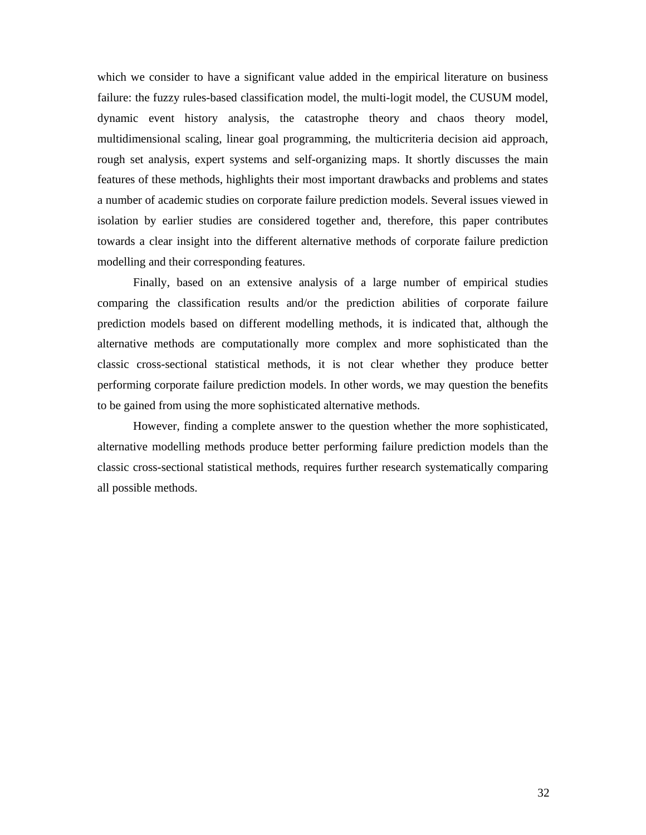which we consider to have a significant value added in the empirical literature on business failure: the fuzzy rules-based classification model, the multi-logit model, the CUSUM model, dynamic event history analysis, the catastrophe theory and chaos theory model, multidimensional scaling, linear goal programming, the multicriteria decision aid approach, rough set analysis, expert systems and self-organizing maps. It shortly discusses the main features of these methods, highlights their most important drawbacks and problems and states a number of academic studies on corporate failure prediction models. Several issues viewed in isolation by earlier studies are considered together and, therefore, this paper contributes towards a clear insight into the different alternative methods of corporate failure prediction modelling and their corresponding features.

Finally, based on an extensive analysis of a large number of empirical studies comparing the classification results and/or the prediction abilities of corporate failure prediction models based on different modelling methods, it is indicated that, although the alternative methods are computationally more complex and more sophisticated than the classic cross-sectional statistical methods, it is not clear whether they produce better performing corporate failure prediction models. In other words, we may question the benefits to be gained from using the more sophisticated alternative methods.

However, finding a complete answer to the question whether the more sophisticated, alternative modelling methods produce better performing failure prediction models than the classic cross-sectional statistical methods, requires further research systematically comparing all possible methods.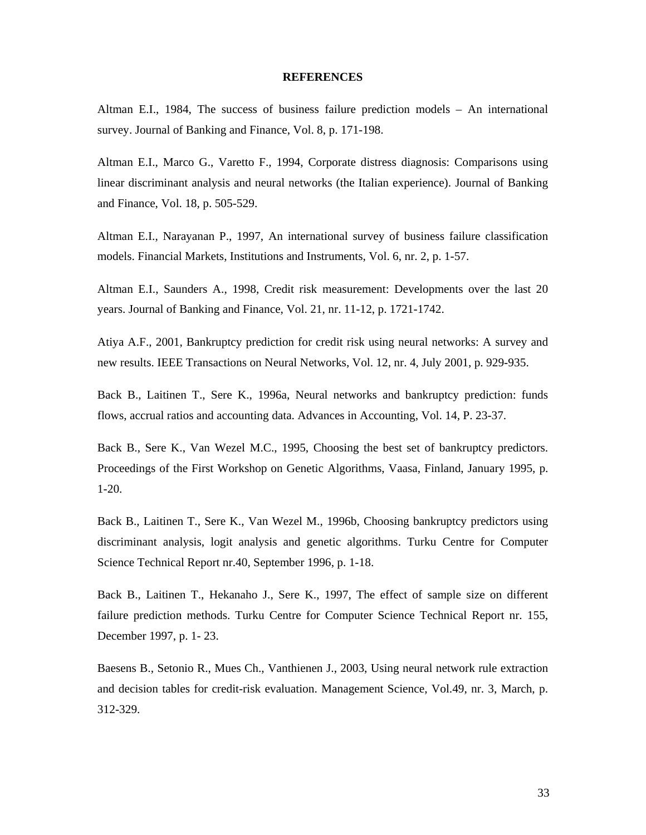#### **REFERENCES**

Altman E.I., 1984, The success of business failure prediction models – An international survey. Journal of Banking and Finance, Vol. 8, p. 171-198.

Altman E.I., Marco G., Varetto F., 1994, Corporate distress diagnosis: Comparisons using linear discriminant analysis and neural networks (the Italian experience). Journal of Banking and Finance, Vol. 18, p. 505-529.

Altman E.I., Narayanan P., 1997, An international survey of business failure classification models. Financial Markets, Institutions and Instruments, Vol. 6, nr. 2, p. 1-57.

Altman E.I., Saunders A., 1998, Credit risk measurement: Developments over the last 20 years. Journal of Banking and Finance, Vol. 21, nr. 11-12, p. 1721-1742.

Atiya A.F., 2001, Bankruptcy prediction for credit risk using neural networks: A survey and new results. IEEE Transactions on Neural Networks, Vol. 12, nr. 4, July 2001, p. 929-935.

Back B., Laitinen T., Sere K., 1996a, Neural networks and bankruptcy prediction: funds flows, accrual ratios and accounting data. Advances in Accounting, Vol. 14, P. 23-37.

Back B., Sere K., Van Wezel M.C., 1995, Choosing the best set of bankruptcy predictors. Proceedings of the First Workshop on Genetic Algorithms, Vaasa, Finland, January 1995, p. 1-20.

Back B., Laitinen T., Sere K., Van Wezel M., 1996b, Choosing bankruptcy predictors using discriminant analysis, logit analysis and genetic algorithms. Turku Centre for Computer Science Technical Report nr.40, September 1996, p. 1-18.

Back B., Laitinen T., Hekanaho J., Sere K., 1997, The effect of sample size on different failure prediction methods. Turku Centre for Computer Science Technical Report nr. 155, December 1997, p. 1- 23.

Baesens B., Setonio R., Mues Ch., Vanthienen J., 2003, Using neural network rule extraction and decision tables for credit-risk evaluation. Management Science, Vol.49, nr. 3, March, p. 312-329.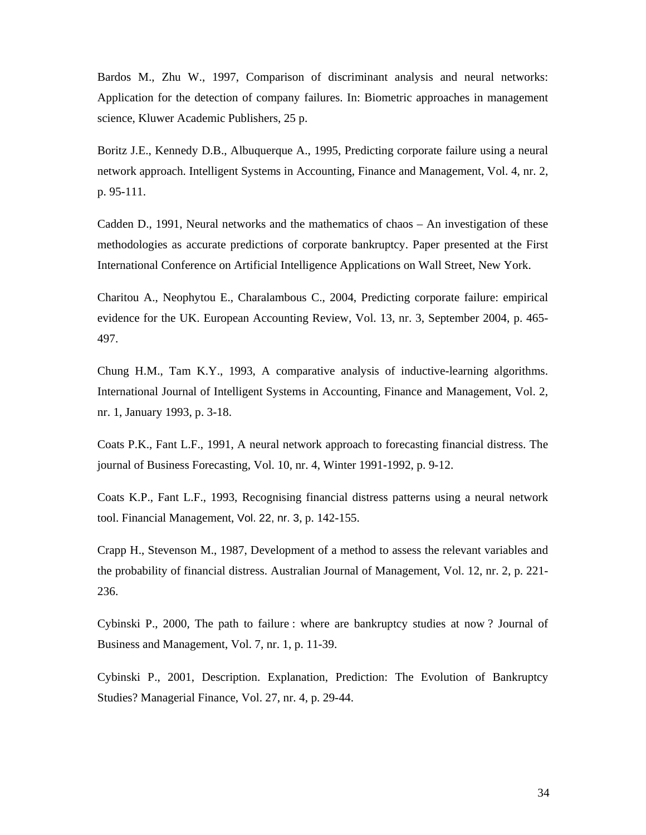Bardos M., Zhu W., 1997, Comparison of discriminant analysis and neural networks: Application for the detection of company failures. In: Biometric approaches in management science, Kluwer Academic Publishers, 25 p.

Boritz J.E., Kennedy D.B., Albuquerque A., 1995, Predicting corporate failure using a neural network approach. Intelligent Systems in Accounting, Finance and Management, Vol. 4, nr. 2, p. 95-111.

Cadden D., 1991, Neural networks and the mathematics of chaos – An investigation of these methodologies as accurate predictions of corporate bankruptcy. Paper presented at the First International Conference on Artificial Intelligence Applications on Wall Street, New York.

Charitou A., Neophytou E., Charalambous C., 2004, Predicting corporate failure: empirical evidence for the UK. European Accounting Review, Vol. 13, nr. 3, September 2004, p. 465- 497.

Chung H.M., Tam K.Y., 1993, A comparative analysis of inductive-learning algorithms. International Journal of Intelligent Systems in Accounting, Finance and Management, Vol. 2, nr. 1, January 1993, p. 3-18.

Coats P.K., Fant L.F., 1991, A neural network approach to forecasting financial distress. The journal of Business Forecasting, Vol. 10, nr. 4, Winter 1991-1992, p. 9-12.

Coats K.P., Fant L.F., 1993, Recognising financial distress patterns using a neural network tool. Financial Management, Vol. 22, nr. 3, p. 142-155.

Crapp H., Stevenson M., 1987, Development of a method to assess the relevant variables and the probability of financial distress. Australian Journal of Management, Vol. 12, nr. 2, p. 221- 236.

Cybinski P., 2000, The path to failure : where are bankruptcy studies at now ? Journal of Business and Management, Vol. 7, nr. 1, p. 11-39.

Cybinski P., 2001, Description. Explanation, Prediction: The Evolution of Bankruptcy Studies? Managerial Finance, Vol. 27, nr. 4, p. 29-44.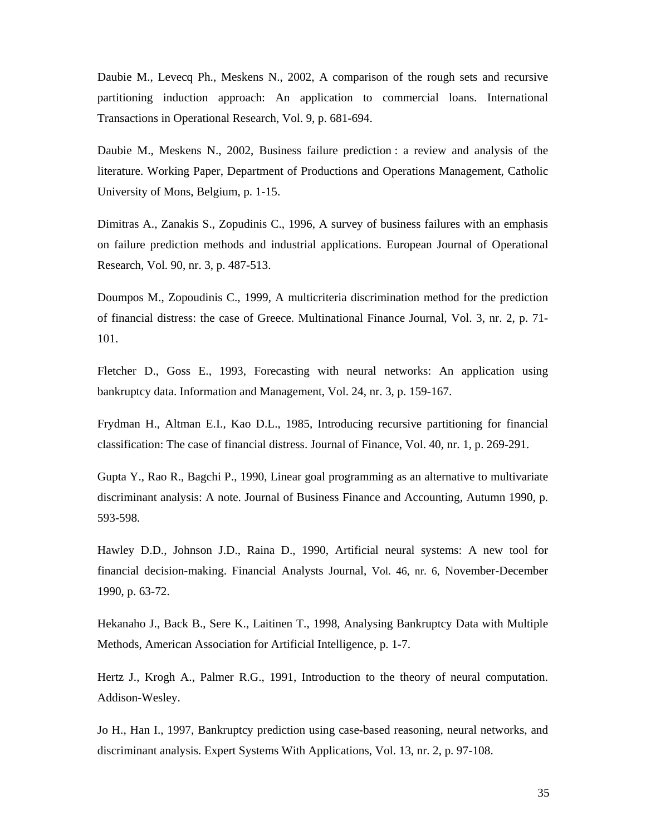Daubie M., Levecq Ph., Meskens N., 2002, A comparison of the rough sets and recursive partitioning induction approach: An application to commercial loans. International Transactions in Operational Research, Vol. 9, p. 681-694.

Daubie M., Meskens N., 2002, Business failure prediction : a review and analysis of the literature. Working Paper, Department of Productions and Operations Management, Catholic University of Mons, Belgium, p. 1-15.

Dimitras A., Zanakis S., Zopudinis C., 1996, A survey of business failures with an emphasis on failure prediction methods and industrial applications. European Journal of Operational Research, Vol. 90, nr. 3, p. 487-513.

Doumpos M., Zopoudinis C., 1999, A multicriteria discrimination method for the prediction of financial distress: the case of Greece. Multinational Finance Journal, Vol. 3, nr. 2, p. 71- 101.

Fletcher D., Goss E., 1993, Forecasting with neural networks: An application using bankruptcy data. Information and Management, Vol. 24, nr. 3, p. 159-167.

Frydman H., Altman E.I., Kao D.L., 1985, Introducing recursive partitioning for financial classification: The case of financial distress. Journal of Finance, Vol. 40, nr. 1, p. 269-291.

Gupta Y., Rao R., Bagchi P., 1990, Linear goal programming as an alternative to multivariate discriminant analysis: A note. Journal of Business Finance and Accounting, Autumn 1990, p. 593-598.

Hawley D.D., Johnson J.D., Raina D., 1990, Artificial neural systems: A new tool for financial decision-making. Financial Analysts Journal, Vol. 46, nr. 6, November-December 1990, p. 63-72.

Hekanaho J., Back B., Sere K., Laitinen T., 1998, Analysing Bankruptcy Data with Multiple Methods, American Association for Artificial Intelligence, p. 1-7.

Hertz J., Krogh A., Palmer R.G., 1991, Introduction to the theory of neural computation. Addison-Wesley.

Jo H., Han I., 1997, Bankruptcy prediction using case-based reasoning, neural networks, and discriminant analysis. Expert Systems With Applications, Vol. 13, nr. 2, p. 97-108.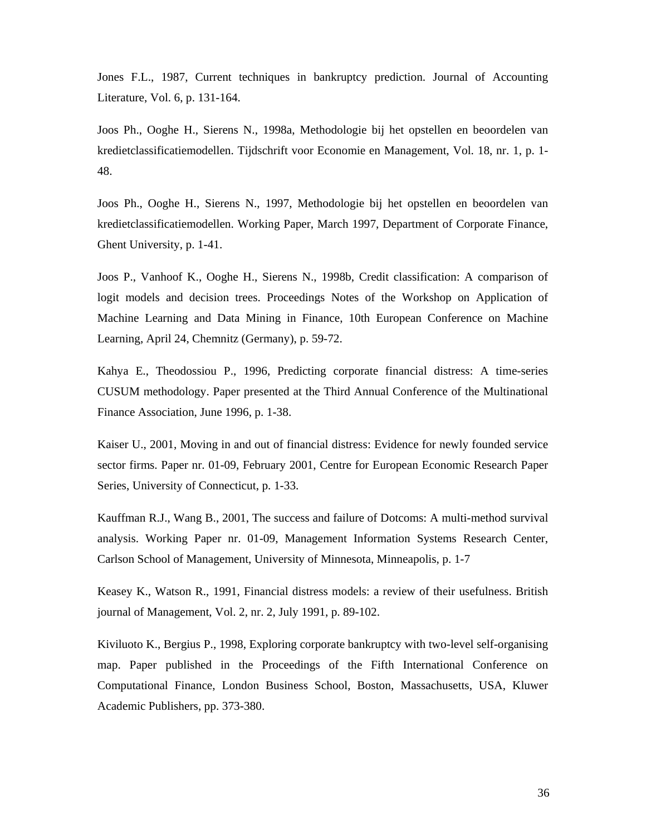Jones F.L., 1987, Current techniques in bankruptcy prediction. Journal of Accounting Literature, Vol. 6, p. 131-164.

Joos Ph., Ooghe H., Sierens N., 1998a, Methodologie bij het opstellen en beoordelen van kredietclassificatiemodellen. Tijdschrift voor Economie en Management, Vol. 18, nr. 1, p. 1- 48.

Joos Ph., Ooghe H., Sierens N., 1997, Methodologie bij het opstellen en beoordelen van kredietclassificatiemodellen. Working Paper, March 1997, Department of Corporate Finance, Ghent University, p. 1-41.

Joos P., Vanhoof K., Ooghe H., Sierens N., 1998b, Credit classification: A comparison of logit models and decision trees. Proceedings Notes of the Workshop on Application of Machine Learning and Data Mining in Finance, 10th European Conference on Machine Learning, April 24, Chemnitz (Germany), p. 59-72.

Kahya E., Theodossiou P., 1996, Predicting corporate financial distress: A time-series CUSUM methodology. Paper presented at the Third Annual Conference of the Multinational Finance Association, June 1996, p. 1-38.

Kaiser U., 2001, Moving in and out of financial distress: Evidence for newly founded service sector firms. Paper nr. 01-09, February 2001, Centre for European Economic Research Paper Series, University of Connecticut, p. 1-33.

Kauffman R.J., Wang B., 2001, The success and failure of Dotcoms: A multi-method survival analysis. Working Paper nr. 01-09, Management Information Systems Research Center, Carlson School of Management, University of Minnesota, Minneapolis, p. 1-7

Keasey K., Watson R., 1991, Financial distress models: a review of their usefulness. British journal of Management, Vol. 2, nr. 2, July 1991, p. 89-102.

Kiviluoto K., Bergius P., 1998, Exploring corporate bankruptcy with two-level self-organising map. Paper published in the Proceedings of the Fifth International Conference on Computational Finance, London Business School, Boston, Massachusetts, USA, Kluwer Academic Publishers, pp. 373-380.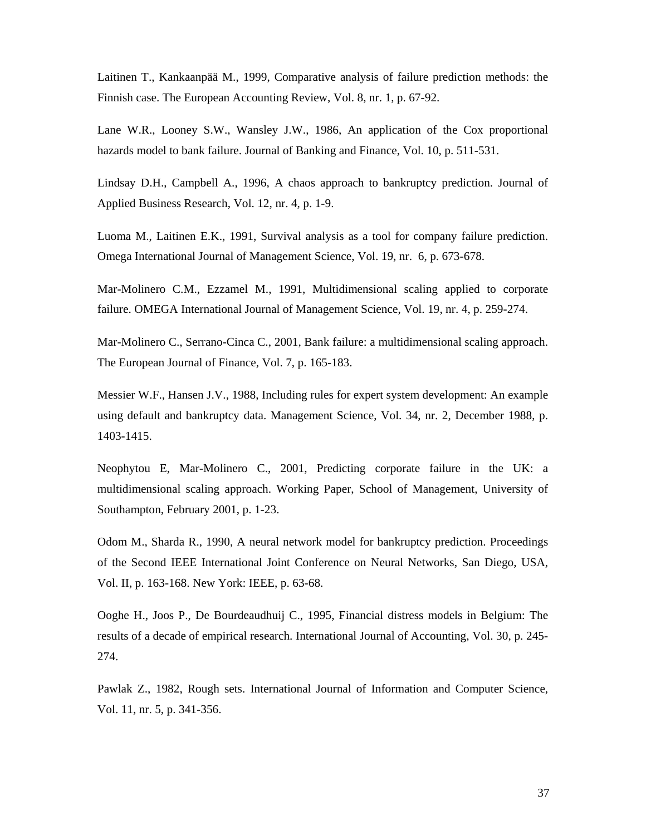Laitinen T., Kankaanpää M., 1999, Comparative analysis of failure prediction methods: the Finnish case. The European Accounting Review, Vol. 8, nr. 1, p. 67-92.

Lane W.R., Looney S.W., Wansley J.W., 1986, An application of the Cox proportional hazards model to bank failure. Journal of Banking and Finance, Vol. 10, p. 511-531.

Lindsay D.H., Campbell A., 1996, A chaos approach to bankruptcy prediction. Journal of Applied Business Research, Vol. 12, nr. 4, p. 1-9.

Luoma M., Laitinen E.K., 1991, Survival analysis as a tool for company failure prediction. Omega International Journal of Management Science, Vol. 19, nr. 6, p. 673-678.

Mar-Molinero C.M., Ezzamel M., 1991, Multidimensional scaling applied to corporate failure. OMEGA International Journal of Management Science, Vol. 19, nr. 4, p. 259-274.

Mar-Molinero C., Serrano-Cinca C., 2001, Bank failure: a multidimensional scaling approach. The European Journal of Finance, Vol. 7, p. 165-183.

Messier W.F., Hansen J.V., 1988, Including rules for expert system development: An example using default and bankruptcy data. Management Science, Vol. 34, nr. 2, December 1988, p. 1403-1415.

Neophytou E, Mar-Molinero C., 2001, Predicting corporate failure in the UK: a multidimensional scaling approach. Working Paper, School of Management, University of Southampton, February 2001, p. 1-23.

Odom M., Sharda R., 1990, A neural network model for bankruptcy prediction. Proceedings of the Second IEEE International Joint Conference on Neural Networks, San Diego, USA, Vol. II, p. 163-168. New York: IEEE, p. 63-68.

Ooghe H., Joos P., De Bourdeaudhuij C., 1995, Financial distress models in Belgium: The results of a decade of empirical research. International Journal of Accounting, Vol. 30, p. 245- 274.

Pawlak Z., 1982, Rough sets. International Journal of Information and Computer Science, Vol. 11, nr. 5, p. 341-356.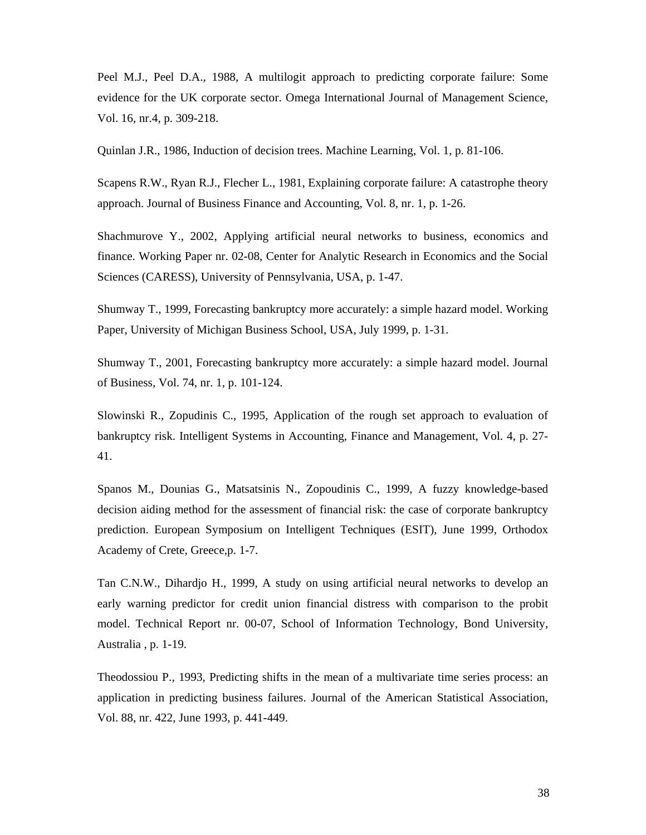Peel M.J., Peel D.A., 1988, A multilogit approach to predicting corporate failure: Some evidence for the UK corporate sector. Omega International Journal of Management Science, Vol. 16, nr.4, p. 309-218.

Quinlan J.R., 1986, Induction of decision trees. Machine Learning, Vol. 1, p. 81-106.

Scapens R.W., Ryan R.J., Flecher L., 1981, Explaining corporate failure: A catastrophe theory approach. Journal of Business Finance and Accounting, Vol. 8, nr. 1, p. 1-26.

Shachmurove Y., 2002, Applying artificial neural networks to business, economics and finance. Working Paper nr. 02-08, Center for Analytic Research in Economics and the Social Sciences (CARESS), University of Pennsylvania, USA, p. 1-47.

Shumway T., 1999, Forecasting bankruptcy more accurately: a simple hazard model. Working Paper, University of Michigan Business School, USA, July 1999, p. 1-31.

Shumway T., 2001, Forecasting bankruptcy more accurately: a simple hazard model. Journal of Business, Vol. 74, nr. 1, p. 101-124.

Slowinski R., Zopudinis C., 1995, Application of the rough set approach to evaluation of bankruptcy risk. Intelligent Systems in Accounting, Finance and Management, Vol. 4, p. 27- 41.

Spanos M., Dounias G., Matsatsinis N., Zopoudinis C., 1999, A fuzzy knowledge-based decision aiding method for the assessment of financial risk: the case of corporate bankruptcy prediction. European Symposium on Intelligent Techniques (ESIT), June 1999, Orthodox Academy of Crete, Greece,p. 1-7.

Tan C.N.W., Dihardjo H., 1999, A study on using artificial neural networks to develop an early warning predictor for credit union financial distress with comparison to the probit model. Technical Report nr. 00-07, School of Information Technology, Bond University, Australia , p. 1-19.

Theodossiou P., 1993, Predicting shifts in the mean of a multivariate time series process: an application in predicting business failures. Journal of the American Statistical Association, Vol. 88, nr. 422, June 1993, p. 441-449.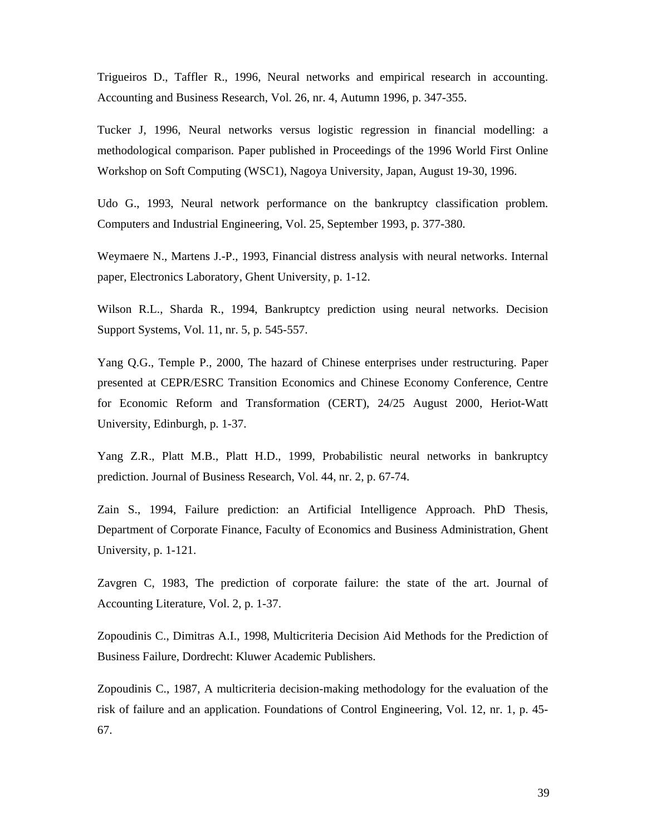Trigueiros D., Taffler R., 1996, Neural networks and empirical research in accounting. Accounting and Business Research, Vol. 26, nr. 4, Autumn 1996, p. 347-355.

Tucker J, 1996, Neural networks versus logistic regression in financial modelling: a methodological comparison. Paper published in Proceedings of the 1996 World First Online Workshop on Soft Computing (WSC1), Nagoya University, Japan, August 19-30, 1996.

Udo G., 1993, Neural network performance on the bankruptcy classification problem. Computers and Industrial Engineering, Vol. 25, September 1993, p. 377-380.

Weymaere N., Martens J.-P., 1993, Financial distress analysis with neural networks. Internal paper, Electronics Laboratory, Ghent University, p. 1-12.

Wilson R.L., Sharda R., 1994, Bankruptcy prediction using neural networks. Decision Support Systems, Vol. 11, nr. 5, p. 545-557.

Yang Q.G., Temple P., 2000, The hazard of Chinese enterprises under restructuring. Paper presented at CEPR/ESRC Transition Economics and Chinese Economy Conference, Centre for Economic Reform and Transformation (CERT), 24/25 August 2000, Heriot-Watt University, Edinburgh, p. 1-37.

Yang Z.R., Platt M.B., Platt H.D., 1999, Probabilistic neural networks in bankruptcy prediction. Journal of Business Research, Vol. 44, nr. 2, p. 67-74.

Zain S., 1994, Failure prediction: an Artificial Intelligence Approach. PhD Thesis, Department of Corporate Finance, Faculty of Economics and Business Administration, Ghent University, p. 1-121.

Zavgren C, 1983, The prediction of corporate failure: the state of the art. Journal of Accounting Literature, Vol. 2, p. 1-37.

Zopoudinis C., Dimitras A.I., 1998, Multicriteria Decision Aid Methods for the Prediction of Business Failure, Dordrecht: Kluwer Academic Publishers.

Zopoudinis C., 1987, A multicriteria decision-making methodology for the evaluation of the risk of failure and an application. Foundations of Control Engineering, Vol. 12, nr. 1, p. 45- 67.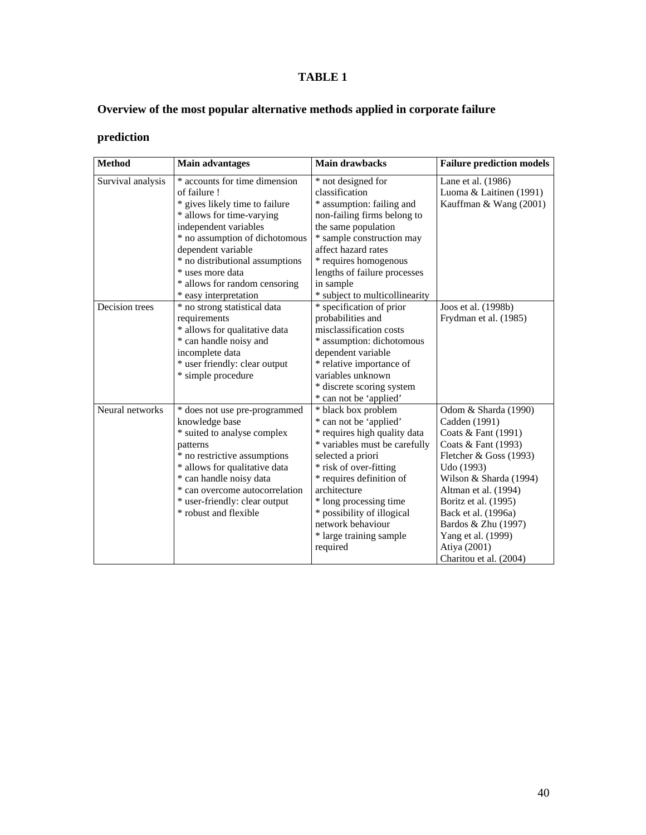## **TABLE 1**

## **Overview of the most popular alternative methods applied in corporate failure**

## **prediction**

| <b>Method</b>     | <b>Main advantages</b>          | <b>Main drawbacks</b>          | <b>Failure prediction models</b> |  |  |  |
|-------------------|---------------------------------|--------------------------------|----------------------------------|--|--|--|
| Survival analysis | * accounts for time dimension   | * not designed for             | Lane et al. (1986)               |  |  |  |
|                   | of failure!                     | classification                 | Luoma & Laitinen (1991)          |  |  |  |
|                   | * gives likely time to failure  | * assumption: failing and      | Kauffman & Wang (2001)           |  |  |  |
|                   | * allows for time-varying       | non-failing firms belong to    |                                  |  |  |  |
|                   | independent variables           | the same population            |                                  |  |  |  |
|                   | * no assumption of dichotomous  | * sample construction may      |                                  |  |  |  |
|                   | dependent variable              | affect hazard rates            |                                  |  |  |  |
|                   | * no distributional assumptions | * requires homogenous          |                                  |  |  |  |
|                   | * uses more data                | lengths of failure processes   |                                  |  |  |  |
|                   | * allows for random censoring   | in sample                      |                                  |  |  |  |
|                   | * easy interpretation           | * subject to multicollinearity |                                  |  |  |  |
| Decision trees    | * no strong statistical data    | * specification of prior       | Joos et al. (1998b)              |  |  |  |
|                   | requirements                    | probabilities and              | Frydman et al. (1985)            |  |  |  |
|                   | * allows for qualitative data   | misclassification costs        |                                  |  |  |  |
|                   | * can handle noisy and          | * assumption: dichotomous      |                                  |  |  |  |
|                   | incomplete data                 | dependent variable             |                                  |  |  |  |
|                   | * user friendly: clear output   | * relative importance of       |                                  |  |  |  |
|                   | * simple procedure              | variables unknown              |                                  |  |  |  |
|                   |                                 | * discrete scoring system      |                                  |  |  |  |
|                   |                                 | * can not be 'applied'         |                                  |  |  |  |
| Neural networks   | * does not use pre-programmed   | * black box problem            | Odom & Sharda (1990)             |  |  |  |
|                   | knowledge base                  | * can not be 'applied'         | Cadden (1991)                    |  |  |  |
|                   | * suited to analyse complex     | * requires high quality data   | Coats & Fant (1991)              |  |  |  |
|                   | patterns                        | * variables must be carefully  | Coats & Fant (1993)              |  |  |  |
|                   | * no restrictive assumptions    | selected a priori              | Fletcher & Goss (1993)           |  |  |  |
|                   | * allows for qualitative data   | * risk of over-fitting         | Udo (1993)                       |  |  |  |
|                   | * can handle noisy data         | * requires definition of       | Wilson & Sharda (1994)           |  |  |  |
|                   | * can overcome autocorrelation  | architecture                   | Altman et al. (1994)             |  |  |  |
|                   | * user-friendly: clear output   | * long processing time         | Boritz et al. (1995)             |  |  |  |
|                   | * robust and flexible           | * possibility of illogical     | Back et al. (1996a)              |  |  |  |
|                   |                                 | network behaviour              | Bardos & Zhu (1997)              |  |  |  |
|                   |                                 | * large training sample        | Yang et al. (1999)               |  |  |  |
|                   |                                 | required                       | Atiya (2001)                     |  |  |  |
|                   |                                 |                                | Charitou et al. (2004)           |  |  |  |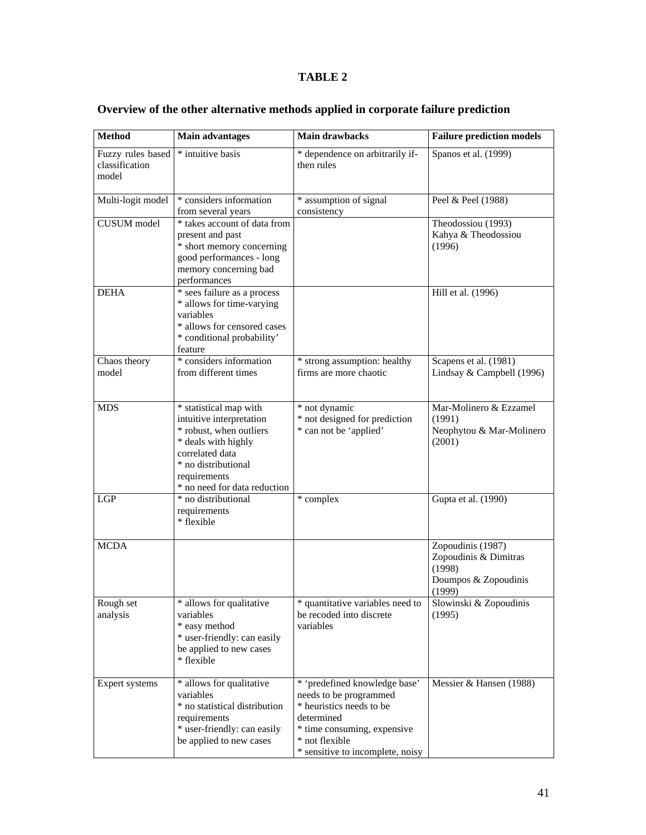## **TABLE 2**

| <b>Method</b>                                | <b>Main advantages</b>                                                                                                                                                                         | <b>Main drawbacks</b>                                                                                                                                                                  | <b>Failure prediction models</b>                                                       |  |  |  |  |
|----------------------------------------------|------------------------------------------------------------------------------------------------------------------------------------------------------------------------------------------------|----------------------------------------------------------------------------------------------------------------------------------------------------------------------------------------|----------------------------------------------------------------------------------------|--|--|--|--|
| Fuzzy rules based<br>classification<br>model | * intuitive basis                                                                                                                                                                              | * dependence on arbitrarily if-<br>then rules                                                                                                                                          | Spanos et al. (1999)                                                                   |  |  |  |  |
| Multi-logit model                            | * considers information<br>from several years                                                                                                                                                  | * assumption of signal<br>consistency                                                                                                                                                  | Peel & Peel (1988)                                                                     |  |  |  |  |
| <b>CUSUM</b> model                           | * takes account of data from<br>present and past<br>* short memory concerning<br>good performances - long<br>memory concerning bad<br>performances                                             |                                                                                                                                                                                        | Theodossiou (1993)<br>Kahya & Theodossiou<br>(1996)                                    |  |  |  |  |
| <b>DEHA</b>                                  | * sees failure as a process<br>* allows for time-varying<br>variables<br>* allows for censored cases<br>* conditional probability'<br>feature                                                  |                                                                                                                                                                                        | Hill et al. (1996)                                                                     |  |  |  |  |
| Chaos theory<br>model                        | * considers information<br>from different times                                                                                                                                                | * strong assumption: healthy<br>firms are more chaotic                                                                                                                                 | Scapens et al. (1981)<br>Lindsay & Campbell (1996)                                     |  |  |  |  |
| <b>MDS</b>                                   | * statistical map with<br>intuitive interpretation<br>* robust, when outliers<br>* deals with highly<br>correlated data<br>* no distributional<br>requirements<br>* no need for data reduction | * not dynamic<br>* not designed for prediction<br>* can not be 'applied'                                                                                                               | Mar-Molinero & Ezzamel<br>(1991)<br>Neophytou & Mar-Molinero<br>(2001)                 |  |  |  |  |
| <b>LGP</b>                                   | * no distributional<br>requirements<br>* flexible                                                                                                                                              | * complex                                                                                                                                                                              | Gupta et al. (1990)                                                                    |  |  |  |  |
| <b>MCDA</b>                                  |                                                                                                                                                                                                |                                                                                                                                                                                        | Zopoudinis (1987)<br>Zopoudinis & Dimitras<br>(1998)<br>Doumpos & Zopoudinis<br>(1999) |  |  |  |  |
| Rough set<br>analysis                        | * allows for qualitative<br>variables<br>* easy method<br>* user-friendly: can easily<br>be applied to new cases<br>* flexible                                                                 | quantitative variables need to<br>be recoded into discrete<br>variables                                                                                                                | Slowinski & Zopoudinis<br>(1995)                                                       |  |  |  |  |
| Expert systems                               | * allows for qualitative<br>variables<br>* no statistical distribution<br>requirements<br>* user-friendly: can easily<br>be applied to new cases                                               | * 'predefined knowledge base'<br>needs to be programmed<br>* heuristics needs to be<br>determined<br>* time consuming, expensive<br>* not flexible<br>* sensitive to incomplete, noisy | Messier & Hansen (1988)                                                                |  |  |  |  |

## **Overview of the other alternative methods applied in corporate failure prediction**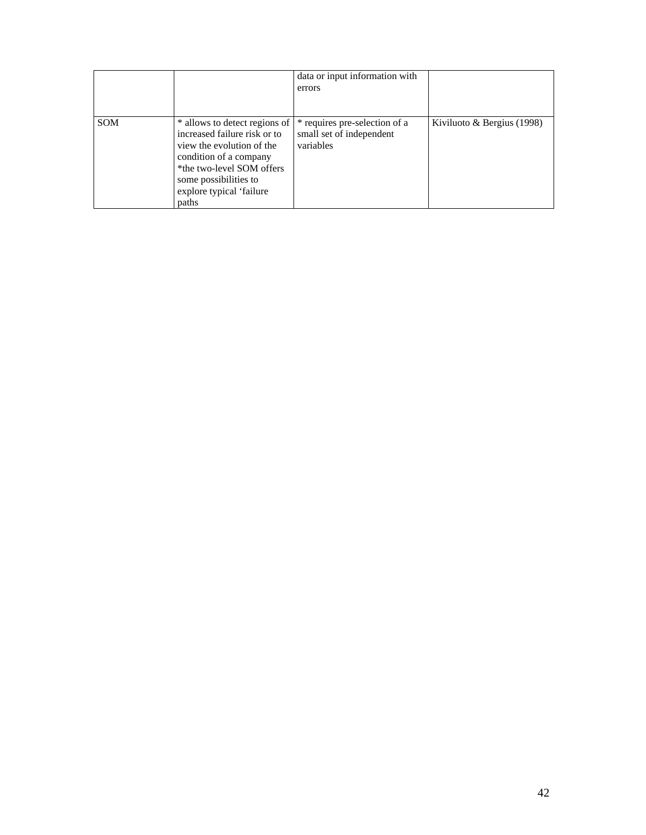|            |                                                                                                                                                                                                                 | data or input information with                                         |                              |
|------------|-----------------------------------------------------------------------------------------------------------------------------------------------------------------------------------------------------------------|------------------------------------------------------------------------|------------------------------|
|            |                                                                                                                                                                                                                 | errors                                                                 |                              |
|            |                                                                                                                                                                                                                 |                                                                        |                              |
| <b>SOM</b> | * allows to detect regions of<br>increased failure risk or to<br>view the evolution of the<br>condition of a company<br>*the two-level SOM offers<br>some possibilities to<br>explore typical 'failure<br>paths | * requires pre-selection of a<br>small set of independent<br>variables | Kiviluoto & Bergius $(1998)$ |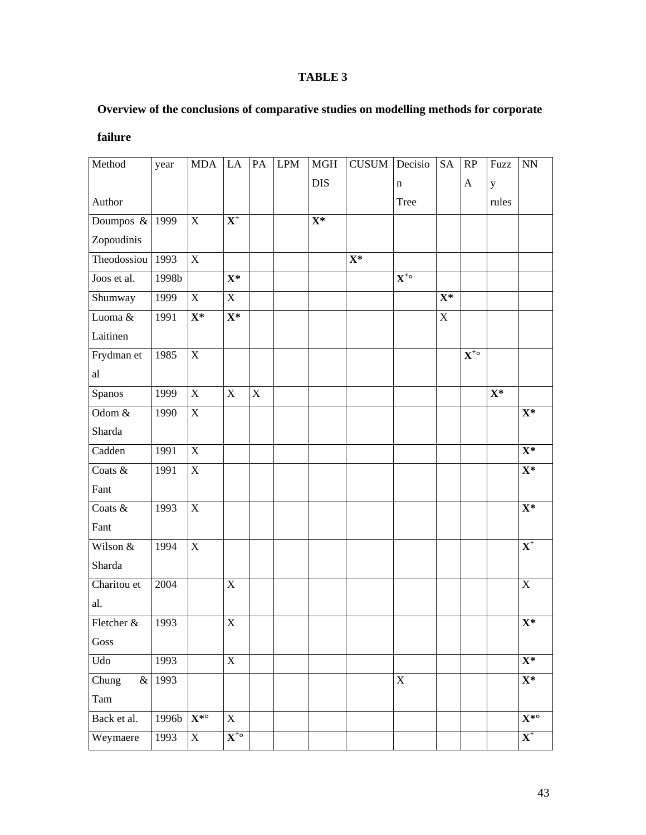## **TABLE 3**

## **Overview of the conclusions of comparative studies on modelling methods for corporate**

| Method            | year   | <b>MDA</b>                          | LA                           | PA          | <b>LPM</b> | MGH        | CUSUM       | Decisio                      | SA          | RP                           | Fuzz        | $\mathop{\rm NN}\nolimits$          |
|-------------------|--------|-------------------------------------|------------------------------|-------------|------------|------------|-------------|------------------------------|-------------|------------------------------|-------------|-------------------------------------|
|                   |        |                                     |                              |             |            | <b>DIS</b> |             | $\mathbf n$                  |             | A                            | $\mathbf y$ |                                     |
| Author            |        |                                     |                              |             |            |            |             | Tree                         |             |                              | rules       |                                     |
| Doumpos $\&$ 1999 |        | $\mathbf X$                         | ${\bf X}^+$                  |             |            | $X^*$      |             |                              |             |                              |             |                                     |
| Zopoudinis        |        |                                     |                              |             |            |            |             |                              |             |                              |             |                                     |
| Theodossiou 1993  |        | $\mathbf X$                         |                              |             |            |            | ${\bf X}^*$ |                              |             |                              |             |                                     |
| Joos et al.       | 1998b  |                                     | ${\bf X}^*$                  |             |            |            |             | $\overline{\mathbf{X}^{*0}}$ |             |                              |             |                                     |
| Shumway           | 1999   | X                                   | $\mathbf X$                  |             |            |            |             |                              | $X^*$       |                              |             |                                     |
| Luoma &           | 1991   | ${\bf X}^*$                         | $\overline{\mathbf{X}^*}$    |             |            |            |             |                              | $\mathbf X$ |                              |             |                                     |
| Laitinen          |        |                                     |                              |             |            |            |             |                              |             |                              |             |                                     |
| Frydman et        | 1985   | $\mathbf X$                         |                              |             |            |            |             |                              |             | $\overline{\mathbf{X}^{*0}}$ |             |                                     |
| al                |        |                                     |                              |             |            |            |             |                              |             |                              |             |                                     |
| Spanos            | 1999   | $\mathbf X$                         | $\mathbf X$                  | $\mathbf X$ |            |            |             |                              |             |                              | $X^*$       |                                     |
| Odom $&$          | 1990   | $\mathbf X$                         |                              |             |            |            |             |                              |             |                              |             | ${\bf X}^*$                         |
| Sharda            |        |                                     |                              |             |            |            |             |                              |             |                              |             |                                     |
| Cadden            | 1991   | $\mathbf X$                         |                              |             |            |            |             |                              |             |                              |             | $X^*$                               |
| Coats &           | 1991   | $\mathbf X$                         |                              |             |            |            |             |                              |             |                              |             | $\overline{\mathbf{X}^*}$           |
| Fant              |        |                                     |                              |             |            |            |             |                              |             |                              |             |                                     |
| Coats &           | 1993   | $\mathbf X$                         |                              |             |            |            |             |                              |             |                              |             | $\overline{\mathbf{X}^*}$           |
| Fant              |        |                                     |                              |             |            |            |             |                              |             |                              |             |                                     |
| Wilson &          | 1994   | $\mathbf X$                         |                              |             |            |            |             |                              |             |                              |             | $\overline{\mathbf{X}^+}$           |
| Sharda            |        |                                     |                              |             |            |            |             |                              |             |                              |             |                                     |
| Charitou et       | 2004   |                                     | $\mathbf X$                  |             |            |            |             |                              |             |                              |             | $\mathbf X$                         |
| al.               |        |                                     |                              |             |            |            |             |                              |             |                              |             |                                     |
| Fletcher $\&$     | 1993   |                                     | $\mathbf X$                  |             |            |            |             |                              |             |                              |             | $X^*$                               |
| Goss              |        |                                     |                              |             |            |            |             |                              |             |                              |             |                                     |
| Udo               | 1993   |                                     | $\mathbf X$                  |             |            |            |             |                              |             |                              |             | $X^*$                               |
| Chung             | & 1993 |                                     |                              |             |            |            |             | $\mathbf X$                  |             |                              |             | $X^*$                               |
| Tam               |        |                                     |                              |             |            |            |             |                              |             |                              |             |                                     |
| Back et al.       | 1996b  | $\overline{\mathbf{X}^{*^{\circ}}}$ | $\mathbf X$                  |             |            |            |             |                              |             |                              |             | $\overline{\mathbf{X}^{*^{\circ}}}$ |
| Weymaere          | 1993   | $\mathbf X$                         | $\overline{\mathbf{X}^{*0}}$ |             |            |            |             |                              |             |                              |             | $\overline{\mathbf{X}^+}$           |

## **failure**